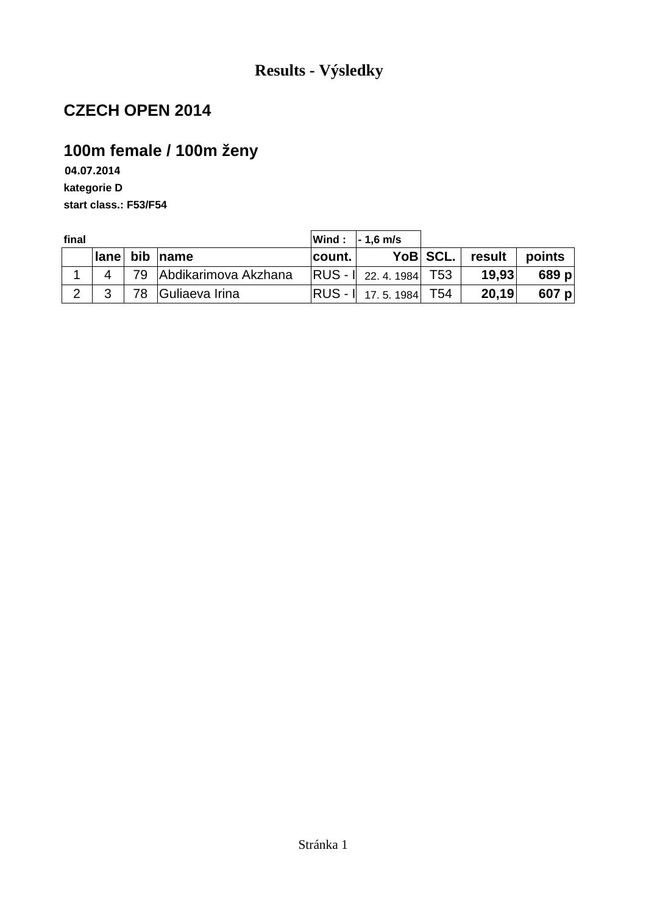# **100m female / 100m ženy**

**04.07.2014 kategorie D start class.: F53/F54**

| final |  |                         |           | $ Wind:  -1, 6 m/s $         |          |        |        |
|-------|--|-------------------------|-----------|------------------------------|----------|--------|--------|
|       |  | lane bib name           | ∣count. I |                              | YoB SCL. | result | points |
|       |  | 79 Abdikarimova Akzhana |           | $ RUS - I $ 22. 4. 1984 T53  |          | 19,93  | 689 p  |
|       |  | 78 Guliaeva Irina       |           | <b>RUS - 1</b> 17.5.1984 T54 |          | 20,19  | 607 p  |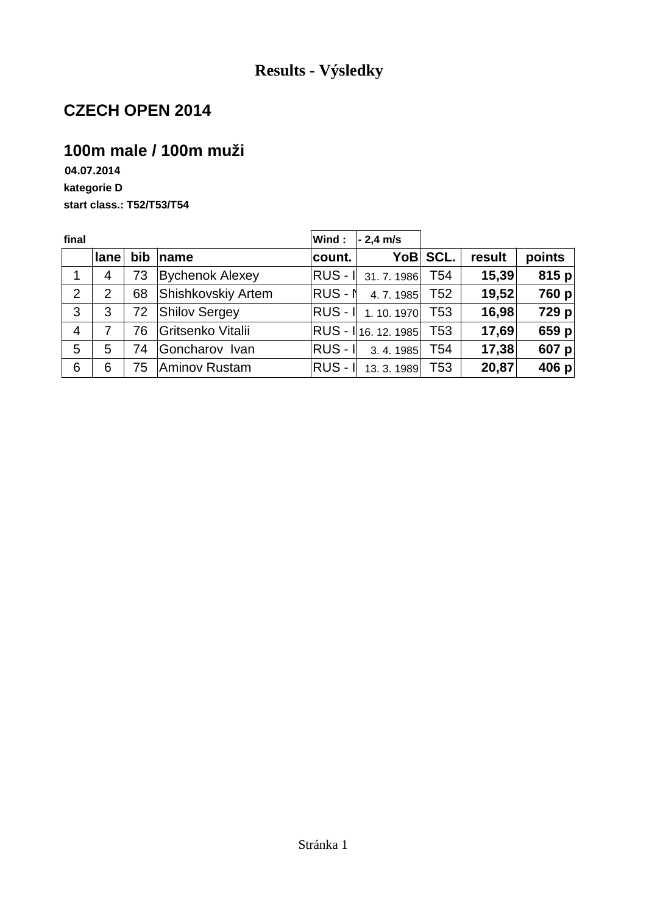### **100m male / 100m muži**

**04.07.2014 kategorie D start class.: T52/T53/T54**

| final          |                |     |                        | Wind:     | $-2,4$ m/s          |                 |        |        |
|----------------|----------------|-----|------------------------|-----------|---------------------|-----------------|--------|--------|
|                | lane           | bib | $\sqrt{ }$ name        | count.    |                     | YoB SCL.        | result | points |
| 1              | $\overline{4}$ | 73  | <b>Bychenok Alexey</b> |           | RUS - I 31.7.1986   | T54             | 15,39  | 815 p  |
| $\overline{2}$ | 2              | 68  | Shishkovskiy Artem     | RUS-N     | 4.7.1985            | T52             | 19,52  | 760 p  |
| 3              | 3              | 72  | <b>Shilov Sergey</b>   |           | RUS -   1.10.1970   | T <sub>53</sub> | 16,98  | 729 p  |
| $\overline{4}$ | 7              | 76  | Gritsenko Vitalii      |           | RUS - 116. 12. 1985 | T53             | 17,69  | 659 p  |
| 5              | 5              | 74  | Goncharov Ivan         | $RUS - I$ | 3.4.1985            | T <sub>54</sub> | 17,38  | 607 p  |
| 6              | 6              | 75  | Aminov Rustam          | $RUS - I$ | 13.3.1989           | T <sub>53</sub> | 20,87  | 406 p  |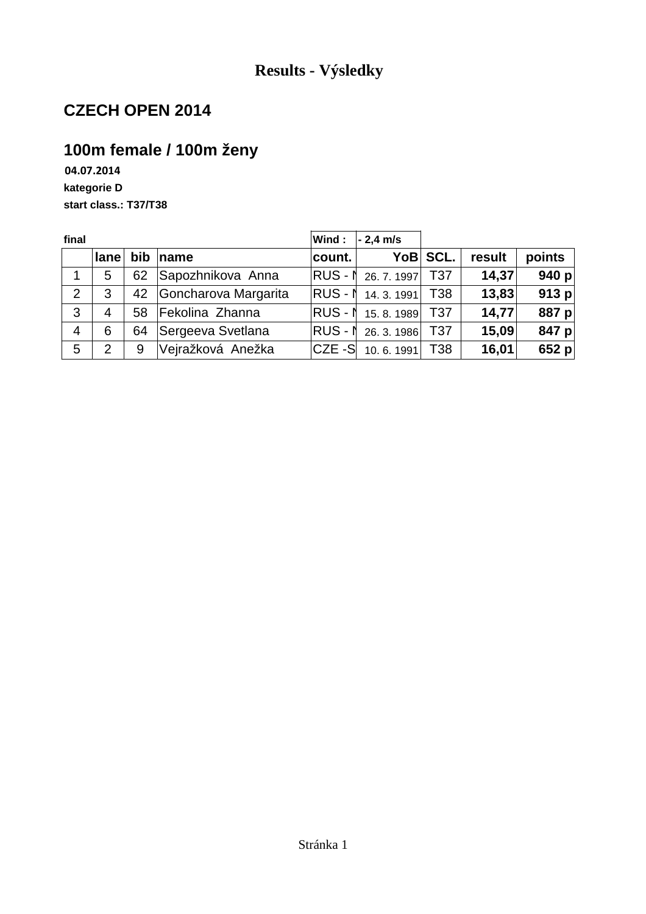## **100m female / 100m ženy**

**04.07.2014 kategorie D start class.: T37/T38**

| final          |                |                |                      | Wind:       | $-2,4$ m/s                |          |        |         |
|----------------|----------------|----------------|----------------------|-------------|---------------------------|----------|--------|---------|
|                | lane           | $\mathsf{bib}$ | ∣name                | count.      |                           | YoB SCL. | result | points  |
| 1              | 5              | 62             | Sapozhnikova Anna    |             | RUS - ↑ 26. 7. 1997   T37 |          | 14,37  | 940 $p$ |
| 2              | 3              | 42             | Goncharova Margarita |             | $ RUS - N$ 14. 3. 1991    | T38      | 13,83  | 913 $p$ |
| 3              | $\overline{4}$ | 58             | Fekolina Zhanna      |             | RUS - ↑ 15.8.1989 T37     |          | 14,77  | 887 $p$ |
| $\overline{4}$ | 6              | 64             | Sergeeva Svetlana    |             | RUS - 1 26. 3. 1986 T37   |          | 15,09  | 847 $p$ |
| 5              | 2              | 9              | Vejražková Anežka    | $ CZE - S $ | 10.6.1991                 | T38      | 16,01  | 652 $p$ |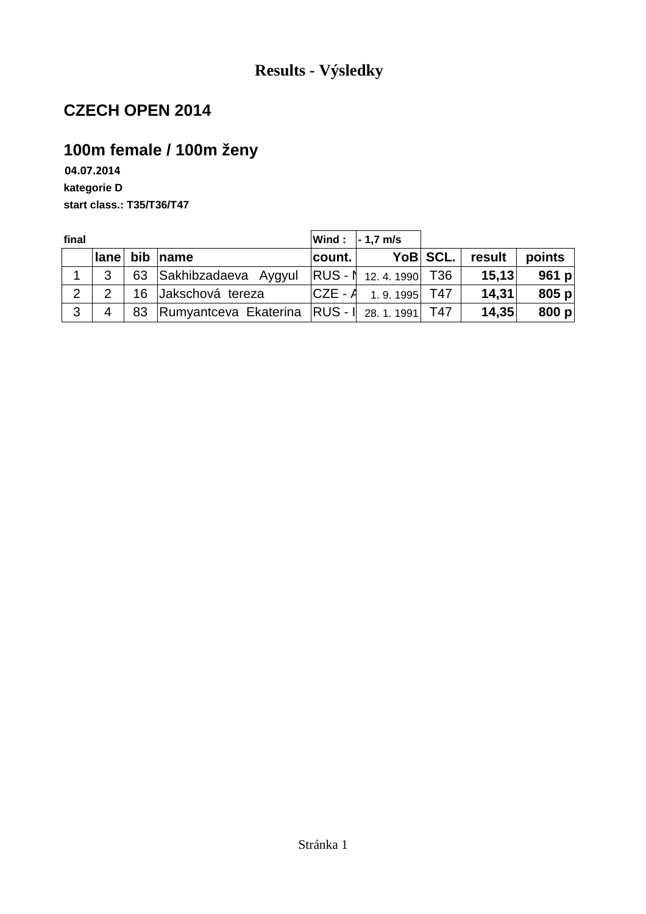## **100m female / 100m ženy**

**04.07.2014 kategorie D start class.: T35/T36/T47**

| final |                         |                                                |          | Wind : $\vert$ - 1,7 m/s       |          |        |         |
|-------|-------------------------|------------------------------------------------|----------|--------------------------------|----------|--------|---------|
|       | $ $ lane $ $            | bib name                                       | count. I |                                | YoB SCL. | result | points  |
|       | 3                       | 63 Sakhibzadaeva Aygyul                        |          | RUS - ↑ 12.4.1990 T36          |          | 15, 13 | 961 p   |
| 2     | $\mathcal{P}$           | 16 Jakschová tereza                            |          | $ CZE - A \quad 1.9.1995 $ T47 |          | 14,31  | 805 $p$ |
| 3     | $\overline{\mathbf{4}}$ | 83 Rumyantceva Ekaterina RUS -   28.1.1991 T47 |          |                                |          | 14,35  | 800 $p$ |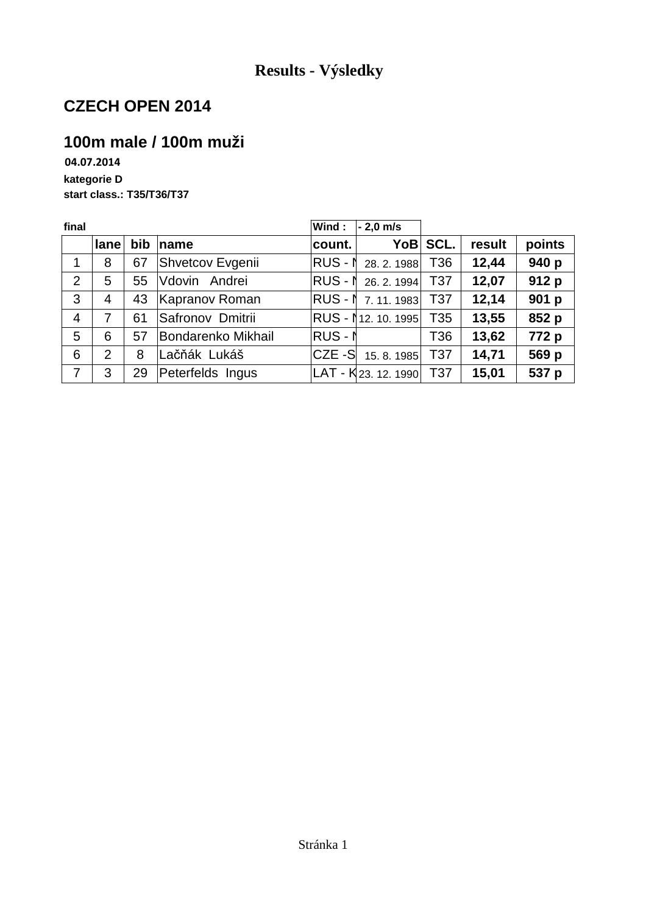# **100m male / 100m muži**

**04.07.2014 kategorie D start class.: T35/T36/T37**

| final          |      |     |                           | Wind:          | $-2,0$ m/s                      |            |        |        |
|----------------|------|-----|---------------------------|----------------|---------------------------------|------------|--------|--------|
|                | lane | bib | name                      | count.         |                                 | YoB SCL.   | result | points |
| 1              | 8    | 67  | Shvetcov Evgenii          |                | RUS - N 28. 2. 1988             | T36        | 12,44  | 940 p  |
| $\overline{2}$ | 5    | 55  | Vdovin Andrei             |                | RUS - N 26. 2. 1994             | T37        | 12,07  | 912 p  |
| 3              | 4    | 43  | <b>Kapranov Roman</b>     |                | $ RUS - N 7.11.1983 $           | T37        | 12,14  | 901 p  |
| $\overline{4}$ | 7    | 61  | Safronov Dmitrii          |                | RUS - 112. 10. 1995             | T35        | 13,55  | 852 p  |
| 5              | 6    | 57  | <b>Bondarenko Mikhail</b> | <b>RUS - N</b> |                                 | T36        | 13,62  | 772 p  |
| 6              | 2    | 8   | Lačňák Lukáš              |                | $ CZE - S $ 15. 8. 1985         | <b>T37</b> | 14,71  | 569 p  |
| 7              | 3    | 29  | Peterfelds Ingus          |                | LAT - K <sub>23. 12. 1990</sub> | <b>T37</b> | 15,01  | 537 p  |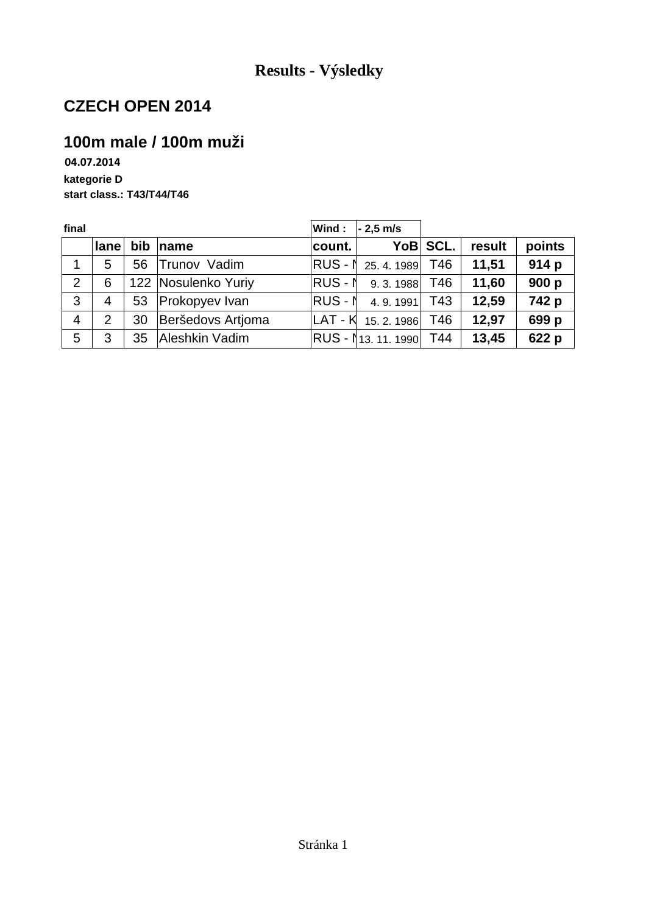# **100m male / 100m muži**

**04.07.2014 kategorie D start class.: T43/T44/T46**

| final          |                |    |                       | Wind:   | $-2,5$ m/s         |          |        |        |
|----------------|----------------|----|-----------------------|---------|--------------------|----------|--------|--------|
|                | <b>lane</b>    |    | bib name              | count.  |                    | YoB SCL. | result | points |
| $\mathbf 1$    | 5              | 56 | Trunov Vadim          |         | RUS - N 25.4.1989  | T46      | 11,51  | 914 p  |
| $\overline{2}$ | 6              |    | 122 Nosulenko Yuriy   | RUS - N | 9.3.1988           | T46      | 11,60  | 900 p  |
| 3              | $\overline{4}$ | 53 | <b>Prokopyev Ivan</b> | RUS - N | 4.9.1991           | T43      | 12,59  | 742 p  |
| $\overline{4}$ | 2              | 30 | Beršedovs Artioma     | LAT - K | 15.2.1986          | T46      | 12,97  | 699 p  |
| 5              | 3              | 35 | Aleshkin Vadim        |         | IRUS - 113.11.1990 | T44      | 13,45  | 622 p  |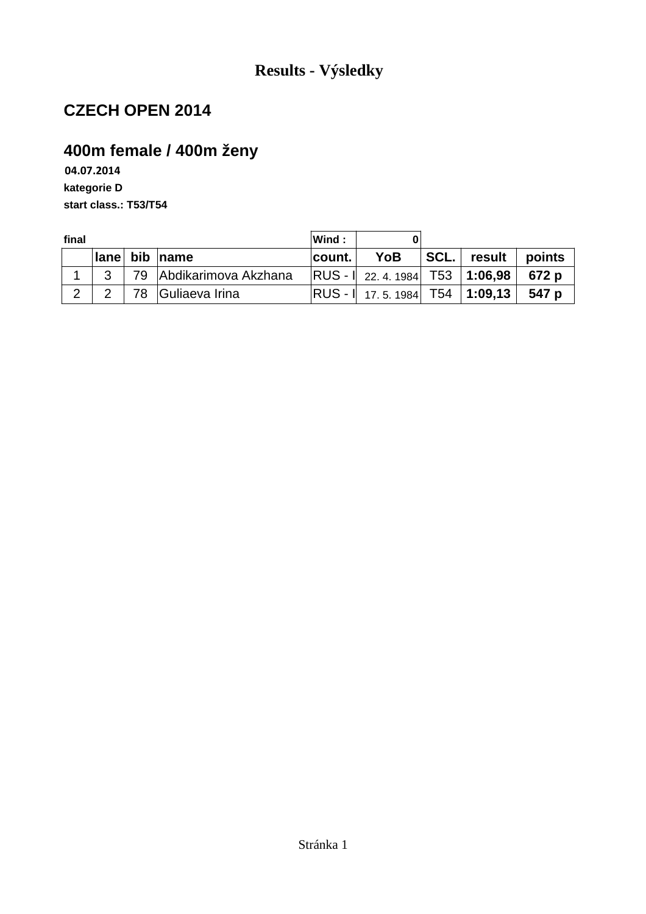# **400m female / 400m ženy**

**04.07.2014 kategorie D start class.: T53/T54**

| final |    |                         | Wind:   |                                              |                                    |        |        |
|-------|----|-------------------------|---------|----------------------------------------------|------------------------------------|--------|--------|
|       |    | lane bib name           | ∣count. | <b>YoB</b>                                   | ${}^{\dagger}$ SCL. ${}^{\dagger}$ | result | points |
|       |    | 79 Abdikarimova Akzhana |         | $ RUS - I $ 22. 4. 1984   T53   1:06,98      |                                    |        | 672 p  |
|       | 78 | Guliaeva Irina          |         | RUS - I∣ 17. 5. 1984│ T54 │ <b>1:09,13</b> │ |                                    |        | 547 p  |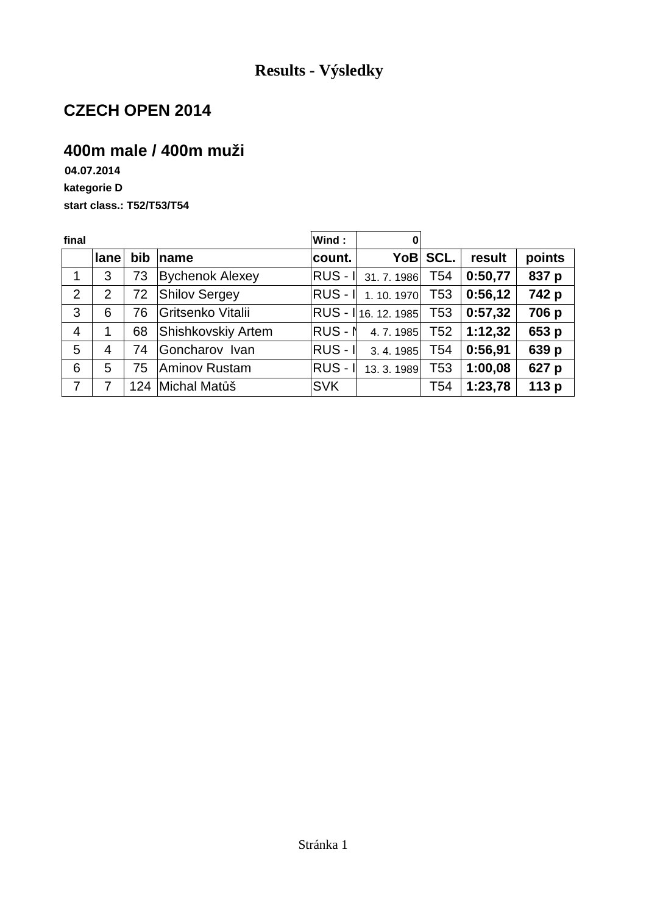### **400m male / 400m muži**

**04.07.2014 kategorie D start class.: T52/T53/T54**

| final          |                |     |                           | Wind:       | 0                   |                 |         |        |
|----------------|----------------|-----|---------------------------|-------------|---------------------|-----------------|---------|--------|
|                | lane           | bib | name                      | count.      | YoB∣                | SCL.            | result  | points |
| 1              | 3              | 73  | <b>Bychenok Alexey</b>    | $RUS - II$  | 31.7.1986           | T54             | 0:50,77 | 837 p  |
| $\overline{2}$ | $\overline{2}$ | 72  | <b>Shilov Sergey</b>      | $RUS - I$   | 1.10.1970           | T <sub>53</sub> | 0:56,12 | 742 p  |
| 3              | 6              | 76  | Gritsenko Vitalii         |             | RUS - 116. 12. 1985 | T53             | 0:57,32 | 706 p  |
| $\overline{4}$ | 1              | 68  | <b>Shishkovskiy Artem</b> | $RUS - N$   | 4.7.1985            | T52             | 1:12,32 | 653 p  |
| 5              | 4              | 74  | Goncharov Ivan            | $RUS - I$   | 3.4.1985            | T54             | 0:56,91 | 639 p  |
| 6              | 5              | 75  | <b>Aminov Rustam</b>      | <b>RUS-</b> | 13. 3. 1989         | T53             | 1:00,08 | 627 p  |
| $\overline{7}$ |                |     | 124 Michal Matůš          | <b>SVK</b>  |                     | T54             | 1:23,78 | 113 p  |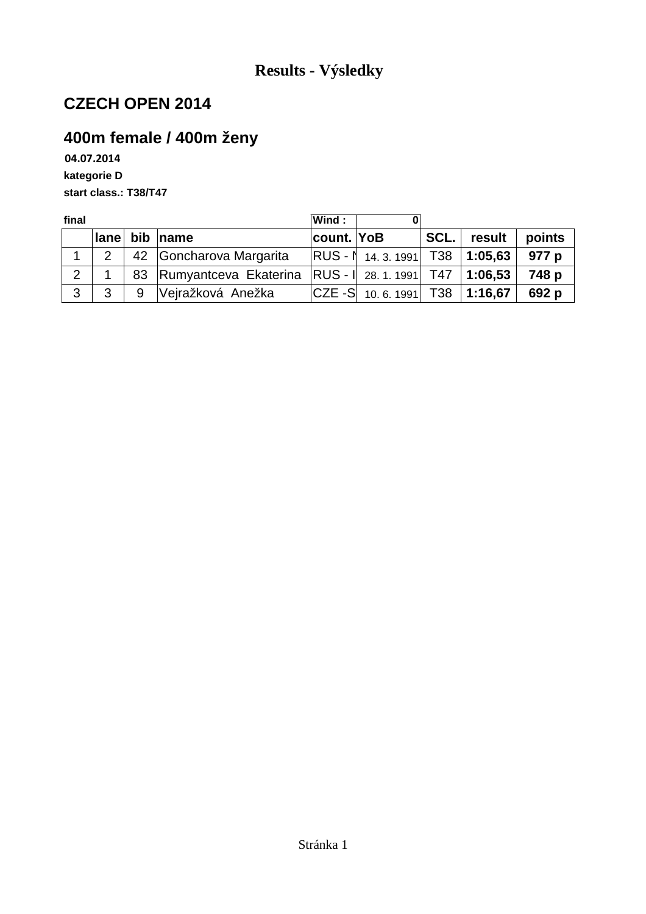## **400m female / 400m ženy**

**04.07.2014 kategorie D start class.: T38/T47**

| final          |      |   |                          | Wind:        |                                                        |      |         |        |
|----------------|------|---|--------------------------|--------------|--------------------------------------------------------|------|---------|--------|
|                | lane |   | bib $ name$              | ∣count. ∣YoB |                                                        | SCL. | result  | points |
|                | 2    |   | 42 Goncharova Margarita  |              | $ {\sf RUS}$ - $ $ 14. 3. 1991 $ $ T38 $ $ 1:05,63 $ $ |      |         | 977 p  |
| 2 <sup>1</sup> |      |   | 83 Rumyantceva Ekaterina |              | $ RUS - I $ 28. 1. 1991   T47   1:06,53                |      |         | 748 p  |
| 3              | 3    | 9 | Vejražková Anežka        |              | $ {\sf CZE}$ -S 10.6.1991 T38                          |      | 1:16,67 | 692 p  |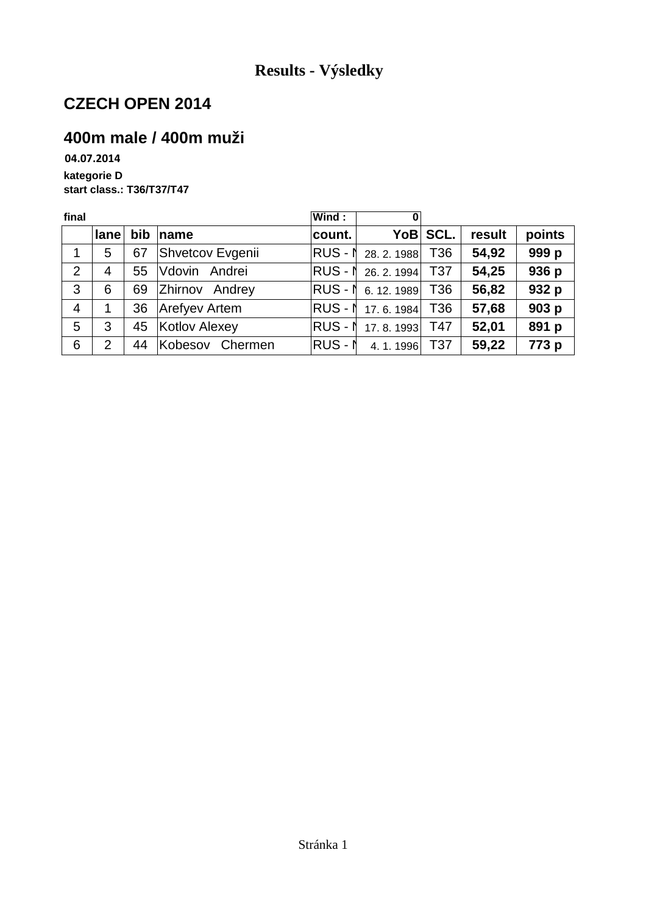### **400m male / 400m muži**

**04.07.2014 kategorie D start class.: T36/T37/T47**

| final          |                |    |                  | Wind:   | 0                          |                 |        |        |
|----------------|----------------|----|------------------|---------|----------------------------|-----------------|--------|--------|
|                | lane           |    | $bib$ name       | count.  |                            | YoB SCL.        | result | points |
| 1              | 5              | 67 | Shvetcov Evgenii |         | <b>RUS - 1</b> 28. 2. 1988 | T <sub>36</sub> | 54,92  | 999 p  |
| $\overline{2}$ | 4              | 55 | Vdovin Andrei    |         | RUS - 1 26. 2. 1994        | T <sub>37</sub> | 54,25  | 936 p  |
| 3              | 6              | 69 | Zhirnov Andrey   |         | RUS - N 6.12.1989          | T36             | 56,82  | 932 p  |
| $\overline{4}$ | 1              | 36 | Arefyev Artem    |         | RUS - N 17.6.1984          | T36             | 57,68  | 903 p  |
| 5              | 3              | 45 | Kotlov Alexey    |         | <b>RUS - N</b> 17.8.1993   | T47             | 52,01  | 891 p  |
| 6              | $\overline{2}$ | 44 | Kobesov Chermen  | RUS - N | 4.1.1996                   | T <sub>37</sub> | 59,22  | 773 p  |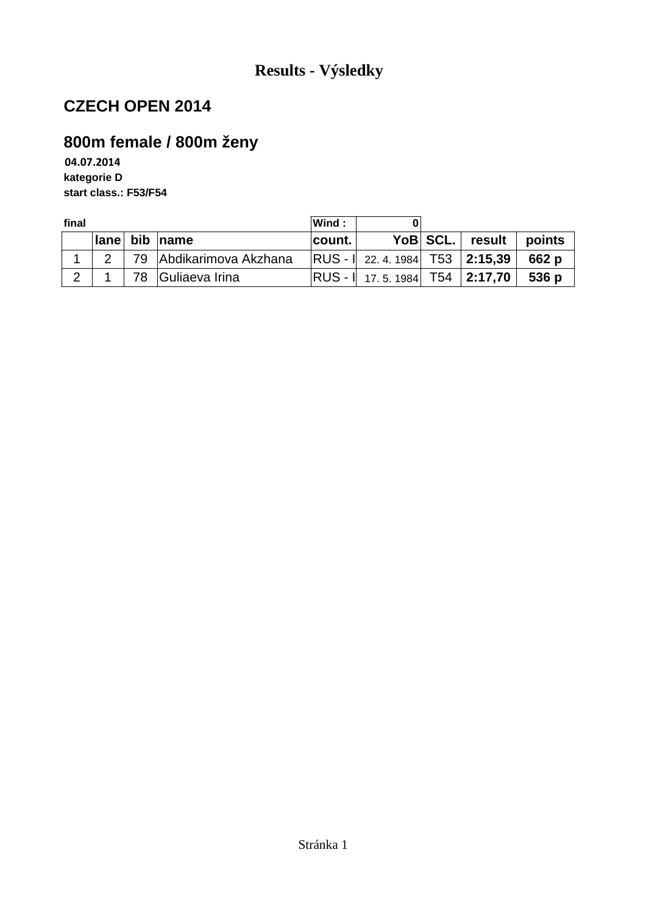# **800m female / 800m ženy**

**04.07.2014 kategorie D start class.: F53/F54**

| final |              |                         | Wind:   |                                         |          |        |        |
|-------|--------------|-------------------------|---------|-----------------------------------------|----------|--------|--------|
|       | $ $ lane $ $ | bib name                | ∣count. |                                         | YoB SCL. | result | points |
|       |              | 79 Abdikarimova Akzhana |         | $ RUS - I $ 22. 4. 1984   T53   2:15,39 |          |        | 662 p  |
| 2     |              | 78 Guliaeva Irina       |         |                                         |          |        | 536 p  |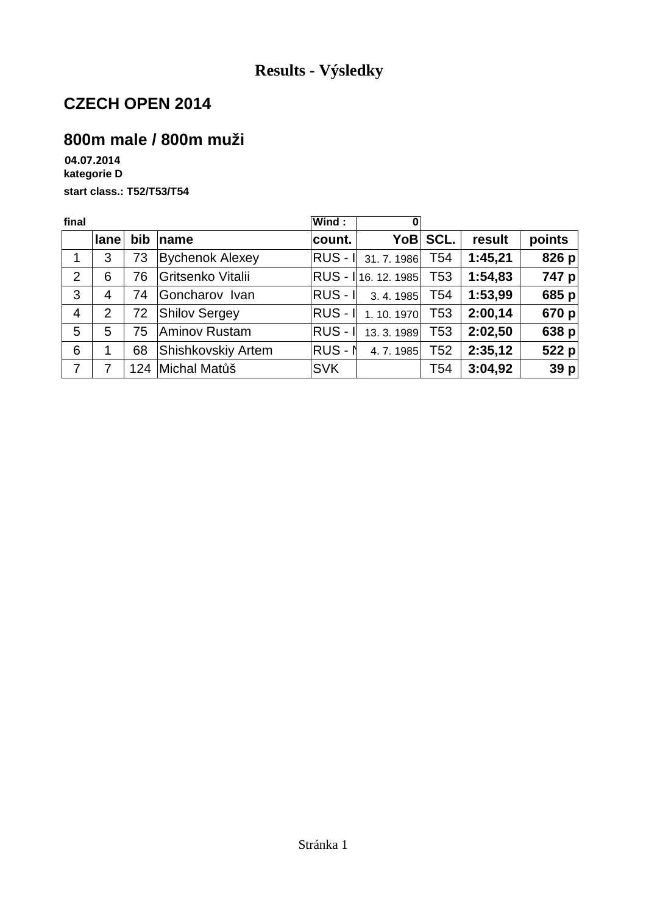# **800m male / 800m muži**

**04.07.2014 kategorie D start class.: T52/T53/T54**

| final          |      |     |                           | Wind:      | 0                  |                 |         |        |
|----------------|------|-----|---------------------------|------------|--------------------|-----------------|---------|--------|
|                | lane | bib | name                      | count.     | YoB                | SCL.            | result  | points |
| 1              | 3    | 73  | <b>Bychenok Alexey</b>    | $RUS - I$  | 31.7.1986          | T <sub>54</sub> | 1:45,21 | 826 p  |
| 2              | 6    | 76  | Gritsenko Vitalii         |            | RUS - 16. 12. 1985 | T <sub>53</sub> | 1:54,83 | 747 p  |
| 3              | 4    | 74  | Goncharov Ivan            | $RUS - I$  | 3.4.1985           | T <sub>54</sub> | 1:53,99 | 685 p  |
| $\overline{4}$ | 2    | 72  | <b>Shilov Sergey</b>      | $RUS - I$  | 1.10.1970          | T <sub>53</sub> | 2:00,14 | 670 p  |
| 5              | 5    | 75  | <b>Aminov Rustam</b>      | $RUS - I$  | 13.3.1989          | T53             | 2:02,50 | 638 p  |
| 6              | 1    | 68  | <b>Shishkovskiy Artem</b> | $RUS - N$  | 4.7.1985           | T <sub>52</sub> | 2:35,12 | 522 p  |
| $\overline{7}$ | 7    |     | 124 Michal Matůš          | <b>SVK</b> |                    | T54             | 3:04,92 | 39 p   |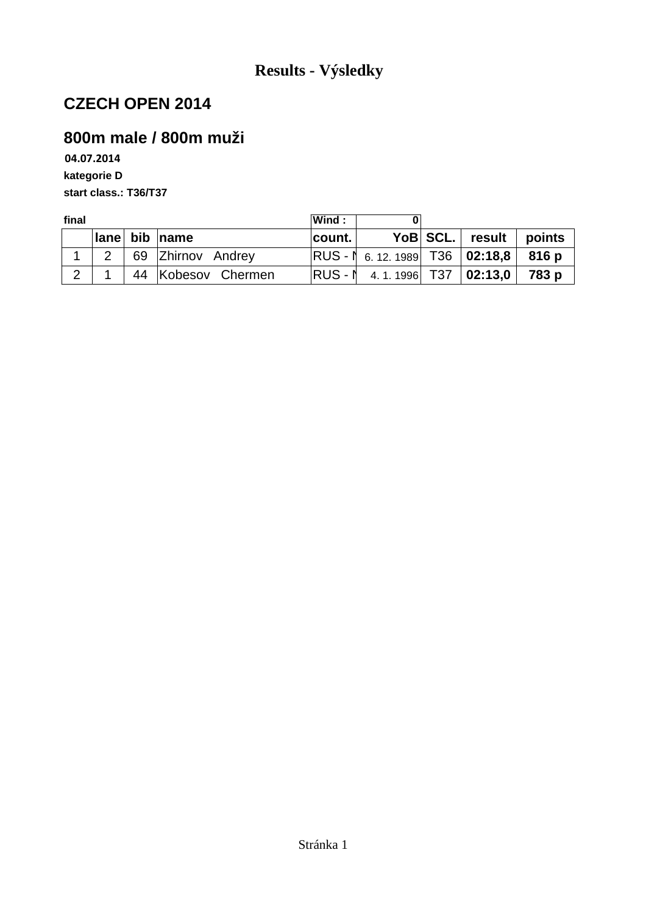### **800m male / 800m muži**

**04.07.2014 kategorie D start class.: T36/T37**

| final |              |  |                    | Wind:    |                                        |          |        |        |
|-------|--------------|--|--------------------|----------|----------------------------------------|----------|--------|--------|
|       | <b>Ilane</b> |  | bib $ name$        | count.   |                                        | YoB SCL. | result | points |
|       |              |  | 69 Zhirnov Andrey  |          | $ RUS - N$ 6.12.1989 T36 02:18,8 816 p |          |        |        |
| 2     |              |  | 44 Kobesov Chermen | IRUS - N | 4. 1. 1996 T37   <b>02:13.0</b>        |          |        | 783 p  |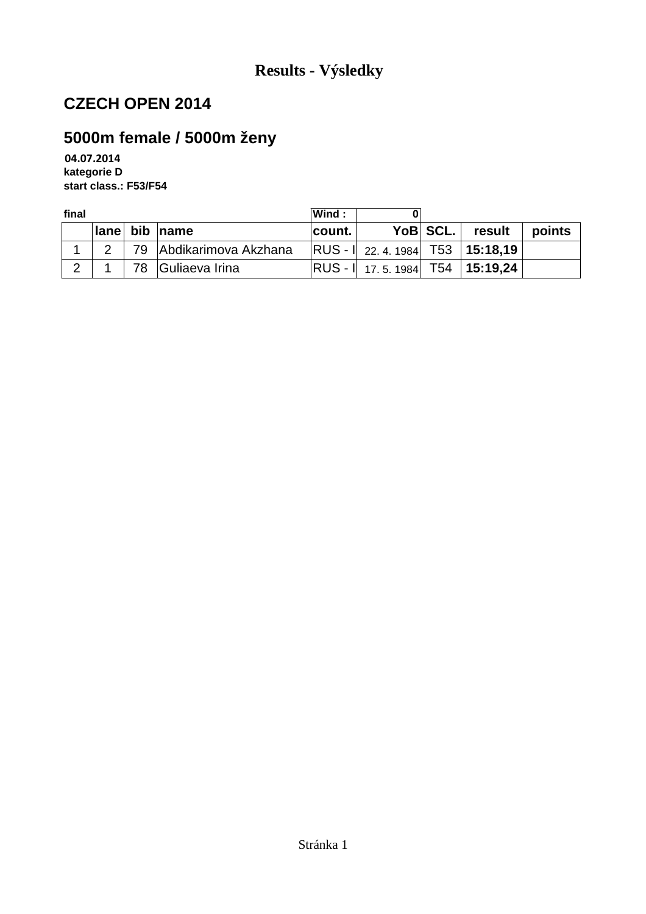## **5000m female / 5000m ženy**

**04.07.2014 kategorie D start class.: F53/F54**

| final          |             |                         | Wind:  |                                          |          |          |        |
|----------------|-------------|-------------------------|--------|------------------------------------------|----------|----------|--------|
|                | <b>lane</b> | bib name                | count. |                                          | YoB SCL. | ∣ result | points |
|                |             | 79 Abdikarimova Akzhana |        | $ RUS - I $ 22. 4. 1984   T53   15:18,19 |          |          |        |
| $\overline{2}$ |             | 78 Guliaeva Irina       |        | $ RUS - I $ 17.5.1984 T54 15:19,24       |          |          |        |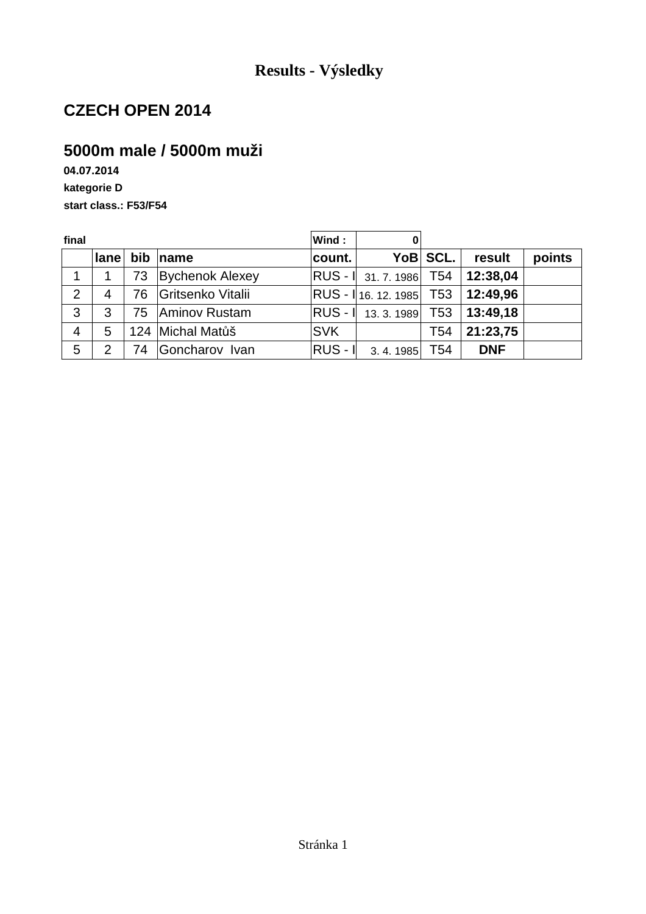### **5000m male / 5000m muži**

**04.07.2014 kategorie D start class.: F53/F54**

| final          |      |     |                        | Wind:      | 0                       |                 |            |        |
|----------------|------|-----|------------------------|------------|-------------------------|-----------------|------------|--------|
|                | lane | bib | $\mathsf{name}$        | count.     |                         | YoB SCL.        | result     | points |
| 1              |      | 73  | <b>Bychenok Alexey</b> |            | RUS - I 31.7.1986 T54   |                 | 12:38,04   |        |
| $\overline{2}$ | 4    | 76  | Gritsenko Vitalii      |            | RUS - 16. 12. 1985 T53  |                 | 12:49,96   |        |
| 3              | 3    | 75  | Aminov Rustam          |            | RUS -   13.3.1989   T53 |                 | 13:49,18   |        |
| $\overline{4}$ | 5    |     | 124 Michal Matůš       | <b>SVK</b> |                         | T <sub>54</sub> | 21:23,75   |        |
| 5              | 2    | 74  | Goncharov Ivan         | $RUS - I$  | 3.4.1985                | T <sub>54</sub> | <b>DNF</b> |        |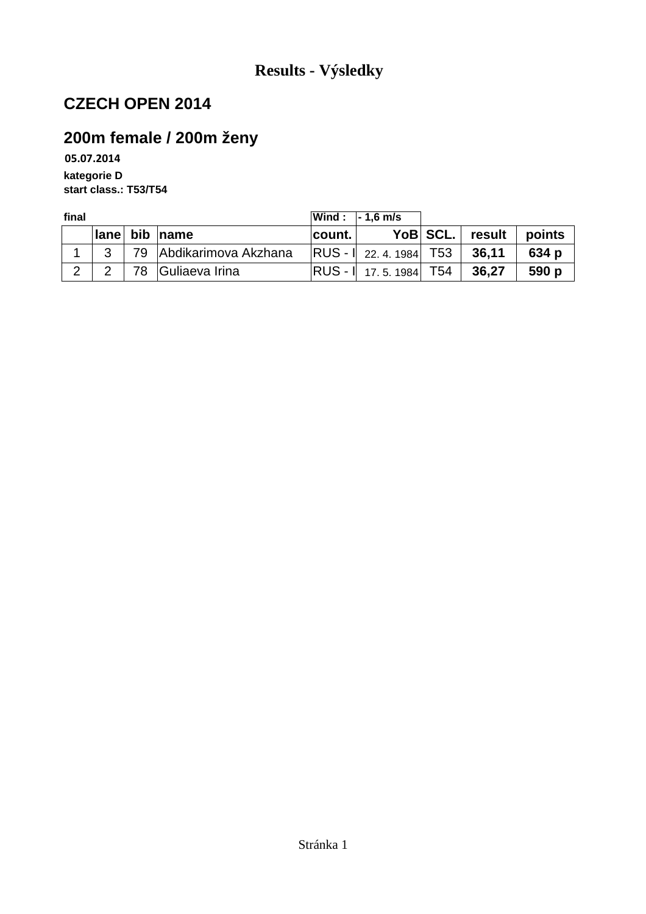## **200m female / 200m ženy**

**05.07.2014 kategorie D start class.: T53/T54**

| final |        |     |                         | $ Wind: -1.6$ m/s |                                             |          |        |        |
|-------|--------|-----|-------------------------|-------------------|---------------------------------------------|----------|--------|--------|
|       | ⊺lane⊺ | bib | $\blacksquare$ name     | count.            |                                             | YoB SCL. | result | points |
|       | າ      |     | 79 Abdikarimova Akzhana |                   | $\vert$ RUS - $\vert$ 22.4.1984 $\vert$ T53 |          | 36,11  | 634 p  |
|       |        |     | 78 Guliaeva Irina       |                   | $ RUS - I $ 17.5.1984 T54                   |          | 36,27  | 590 p  |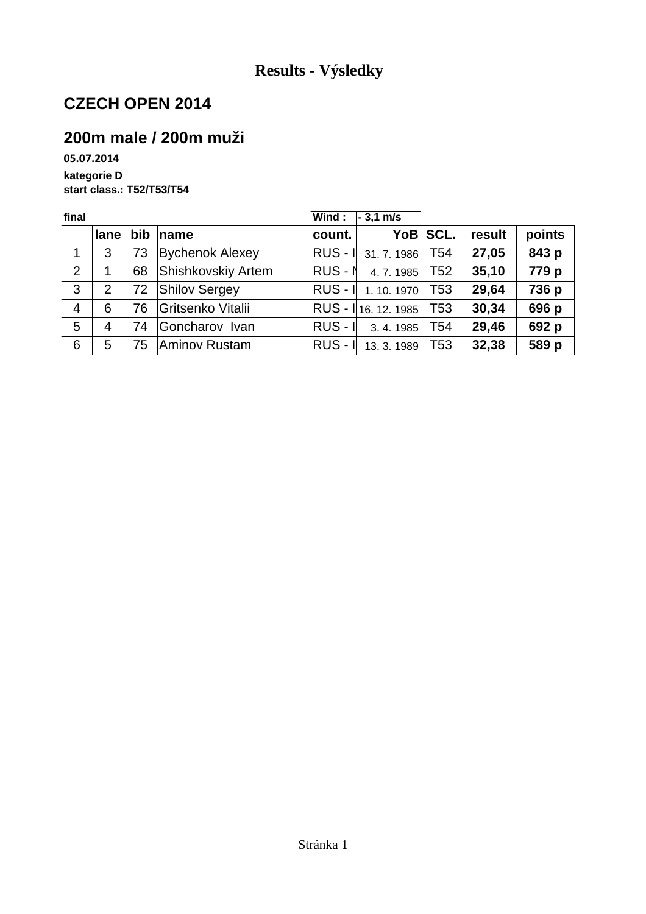### **200m male / 200m muži**

**05.07.2014 kategorie D start class.: T52/T53/T54**

| final          |      |     |                        | Wind:     | $-3.1$ m/s          |                 |        |        |
|----------------|------|-----|------------------------|-----------|---------------------|-----------------|--------|--------|
|                | lane | bib | ∣name                  | count.    | YoB                 | SCL.            | result | points |
| 1              | 3    | 73  | <b>Bychenok Alexey</b> |           | RUS - I 31.7.1986   | T54             | 27,05  | 843 p  |
| 2              |      | 68  | Shishkovskiy Artem     | $RUS - N$ | 4.7.1985            | T <sub>52</sub> | 35,10  | 779 p  |
| 3              | 2    | 72  | <b>Shilov Sergey</b>   |           | RUS - I 1.10.1970   | T <sub>53</sub> | 29,64  | 736 p  |
| $\overline{4}$ | 6    | 76  | Gritsenko Vitalii      |           | RUS - 116. 12. 1985 | T53             | 30,34  | 696 p  |
| 5              | 4    | 74  | Goncharov Ivan         | $RUS - I$ | 3.4.1985            | T <sub>54</sub> | 29,46  | 692 p  |
| 6              | 5    | 75  | Aminov Rustam          | $RUS - I$ | 13.3.1989           | T <sub>53</sub> | 32,38  | 589 p  |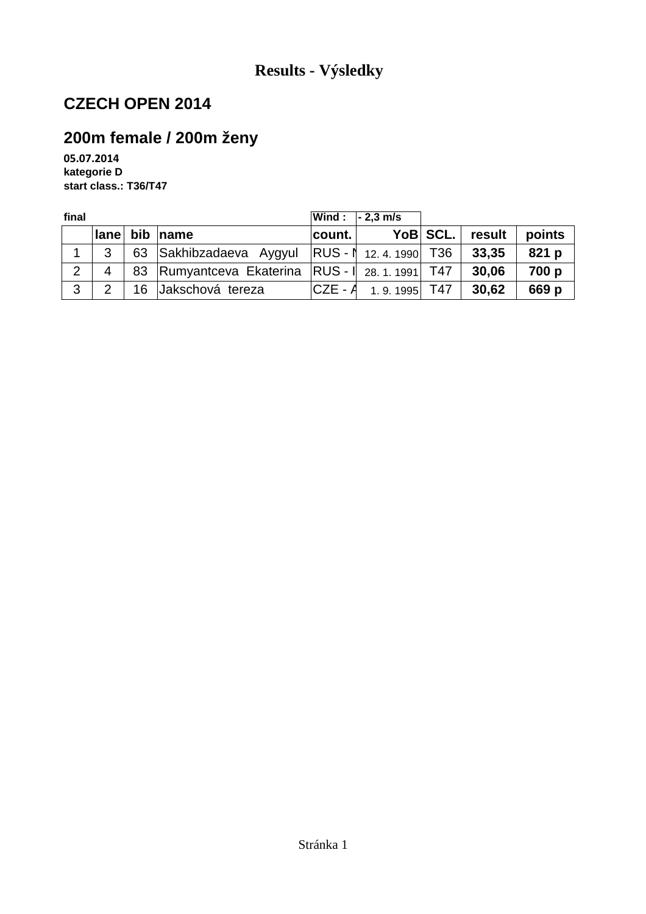## **200m female / 200m ženy**

**05.07.2014 kategorie D start class.: T36/T47**

| final |          |    |                                                        |             | $ Wind: -2.3 m/s $ |          |        |        |
|-------|----------|----|--------------------------------------------------------|-------------|--------------------|----------|--------|--------|
|       | $ $ lane |    | bib $ name$                                            | ∣count. I   |                    | YoB SCL. | result | points |
|       | વ        |    | 63 Sakhibzadaeva Aygyul $ RUS - N $ 12.4.1990 T36      |             |                    |          | 33,35  | 821 p  |
| 2     | 4        |    | 83   Rumyantceva Ekaterina   RUS - I 28. 1. 1991   T47 |             |                    |          | 30,06  | 700 p  |
| 3     | ာ        | 16 | Jakschová tereza                                       | $ CZE - A $ | 1.9.1995 T47       |          | 30,62  | 669 p  |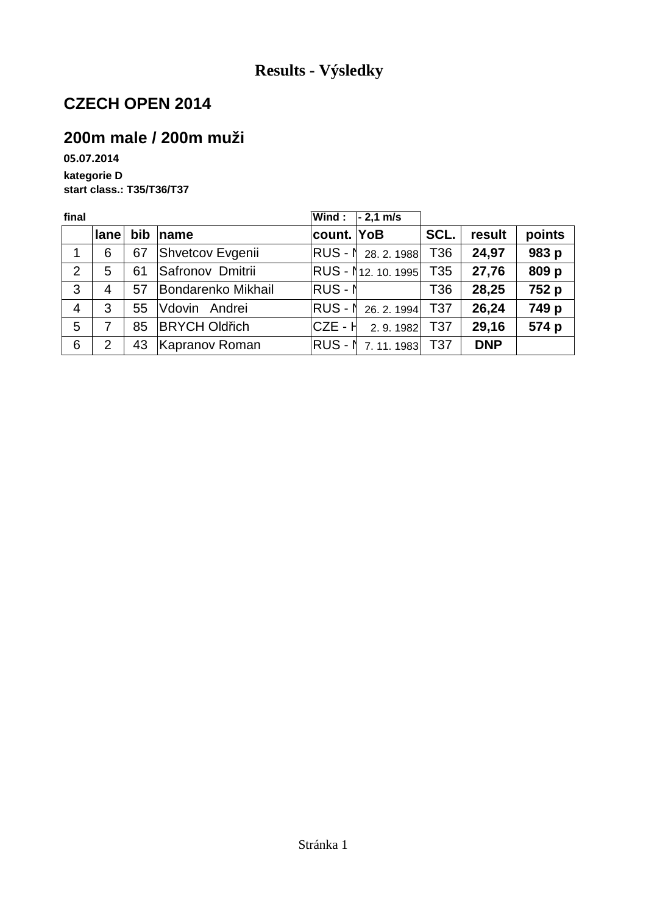### **200m male / 200m muži**

**05.07.2014 kategorie D start class.: T35/T36/T37**

| final          |                |            |                      | Wind:      | $-2,1$ m/s                  |                 |            |        |
|----------------|----------------|------------|----------------------|------------|-----------------------------|-----------------|------------|--------|
|                | lane           | <b>bib</b> | ∣name                | count. YoB |                             | SCL.            | result     | points |
| 1              | 6              | 67         | Shvetcov Evgenii     |            | RUS - N 28. 2. 1988         | T36             | 24,97      | 983 p  |
| 2              | 5              | 61         | Safronov Dmitrii     |            | <b>RUS - 1</b> 12. 10. 1995 | T <sub>35</sub> | 27,76      | 809 p  |
| 3              | 4              | 57         | Bondarenko Mikhail   | $RUS - N$  |                             | T36             | 28,25      | 752 p  |
| $\overline{4}$ | 3              | 55         | Vdovin Andrei        |            | RUS - N 26. 2. 1994         | T <sub>37</sub> | 26,24      | 749 p  |
| 5              |                | 85         | <b>BRYCH Oldřich</b> | ICZE - H   | 2.9.1982 T37                |                 | 29,16      | 574 p  |
| 6              | $\overline{2}$ | 43         | Kapranov Roman       |            | RUS - 1 7.11.1983 T37       |                 | <b>DNP</b> |        |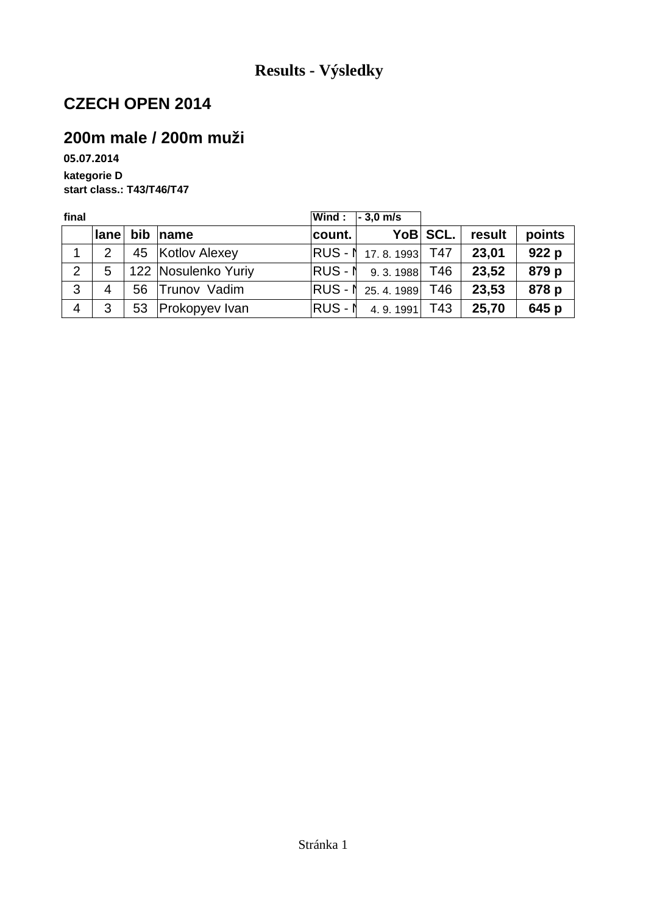### **200m male / 200m muži**

**05.07.2014 kategorie D start class.: T43/T46/T47**

| final          |          |    |                     |         | Wind : $\overline{\phantom{a}}$ - 3,0 m/s |          |        |        |
|----------------|----------|----|---------------------|---------|-------------------------------------------|----------|--------|--------|
|                | $ $ lane |    | bib $ name$         | count.  |                                           | YoB SCL. | result | points |
| 1              | 2        |    | 45 Kotlov Alexey    |         | <b>RUS - 1</b> 17.8.1993 T47              |          | 23,01  | 922 p  |
| 2              | 5        |    | 122 Nosulenko Yuriy |         | RUS - N 9.3.1988 T46                      |          | 23,52  | 879 p  |
| 3              | 4        | 56 | Trunov Vadim        |         | RUS - ↑ 25.4.1989 T46                     |          | 23,53  | 878 p  |
| $\overline{4}$ | 3        | 53 | Prokopyev Ivan      | RUS - N | 4.9.1991                                  | T43      | 25,70  | 645 p  |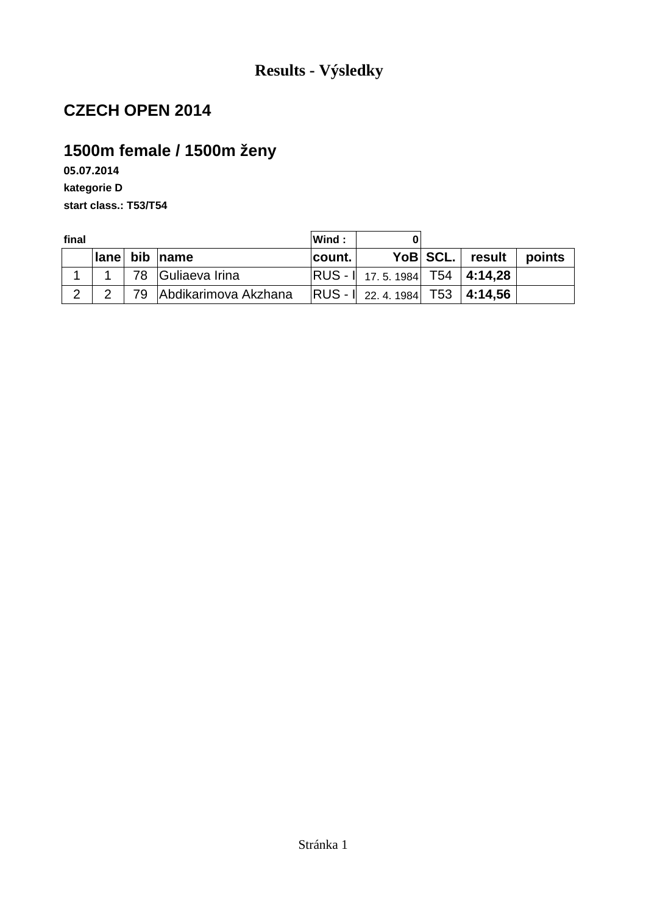# **1500m female / 1500m ženy**

**05.07.2014 kategorie D start class.: T53/T54**

| final         |              |  |                         | Wind:   |                                         |                 |        |
|---------------|--------------|--|-------------------------|---------|-----------------------------------------|-----------------|--------|
|               | $ $ lane $ $ |  | bib name                | ∣count. |                                         | YoB SCL. result | points |
|               |              |  | 78 Guliaeva Irina       |         | $ RUS - I $ 17.5.1984 T54 4:14,28       |                 |        |
| $\mathcal{P}$ |              |  | 79 Abdikarimova Akzhana |         | $ RUS - I $ 22. 4. 1984   T53   4:14,56 |                 |        |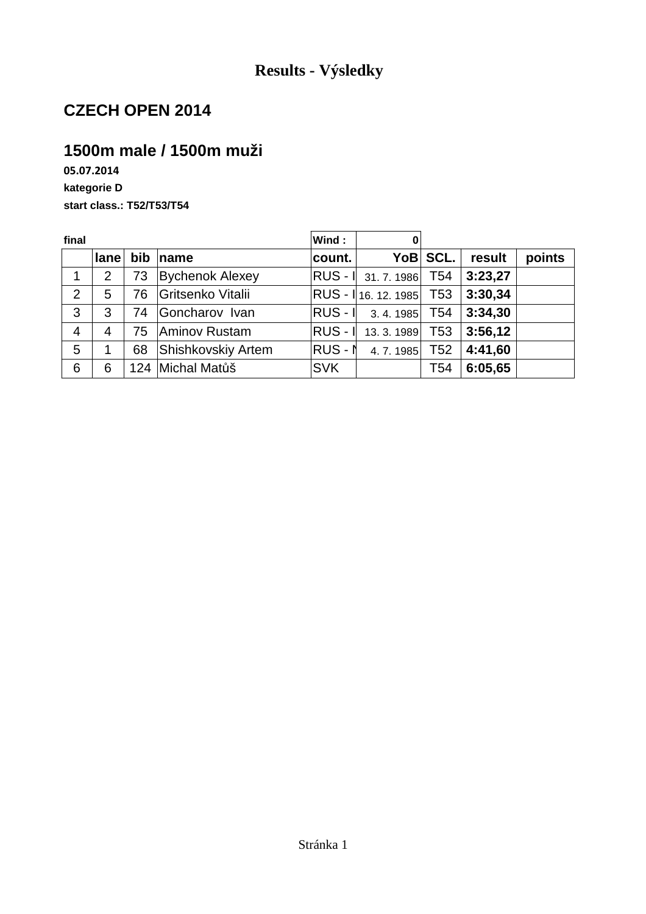### **1500m male / 1500m muži**

**05.07.2014 kategorie D start class.: T52/T53/T54**

| final          |                |     |                        | Wind:      | 0                     |          |         |        |
|----------------|----------------|-----|------------------------|------------|-----------------------|----------|---------|--------|
|                | lane           | bib | $\ln$ ame              | count.     |                       | YoB SCL. | result  | points |
| 1              | $\overline{2}$ | 73  | <b>Bychenok Alexey</b> |            | RUS - 1 31.7.1986 T54 |          | 3:23,27 |        |
| 2              | 5              | 76  | Gritsenko Vitalii      |            |                       |          | 3:30,34 |        |
| 3              | 3              | 74  | Goncharov Ivan         |            | $ RUS - I $ 3.4.1985  | T54      | 3:34,30 |        |
| $\overline{4}$ | $\overline{4}$ | 75  | Aminov Rustam          |            | RUS - 1 13.3.1989 T53 |          | 3:56,12 |        |
| 5              |                | 68  | Shishkovskiy Artem     | RUS - N    | 4.7.1985              | T52      | 4:41.60 |        |
| 6              | 6              |     | 124 Michal Matůš       | <b>SVK</b> |                       | T54      | 6:05,65 |        |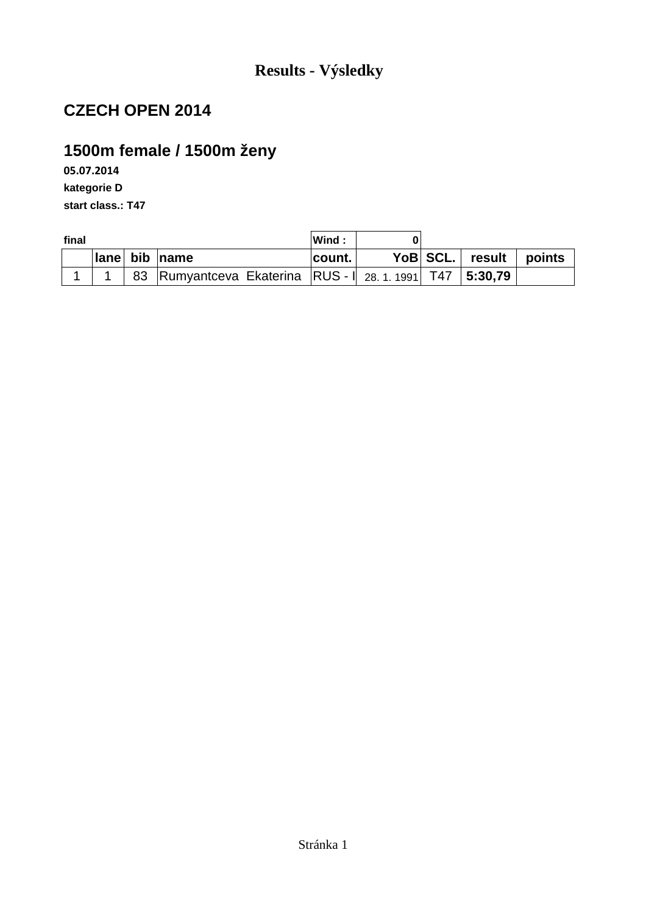# **1500m female / 1500m ženy**

**05.07.2014 kategorie D start class.: T47**

| final |  |  | Wind:                                                  |         |  |                 |        |
|-------|--|--|--------------------------------------------------------|---------|--|-----------------|--------|
|       |  |  | Iane bib name                                          | ∣count. |  | YoB SCL. result | points |
|       |  |  | 83 Rumyantceva Ekaterina RUS - 28. 1. 1991 T47 5:30,79 |         |  |                 |        |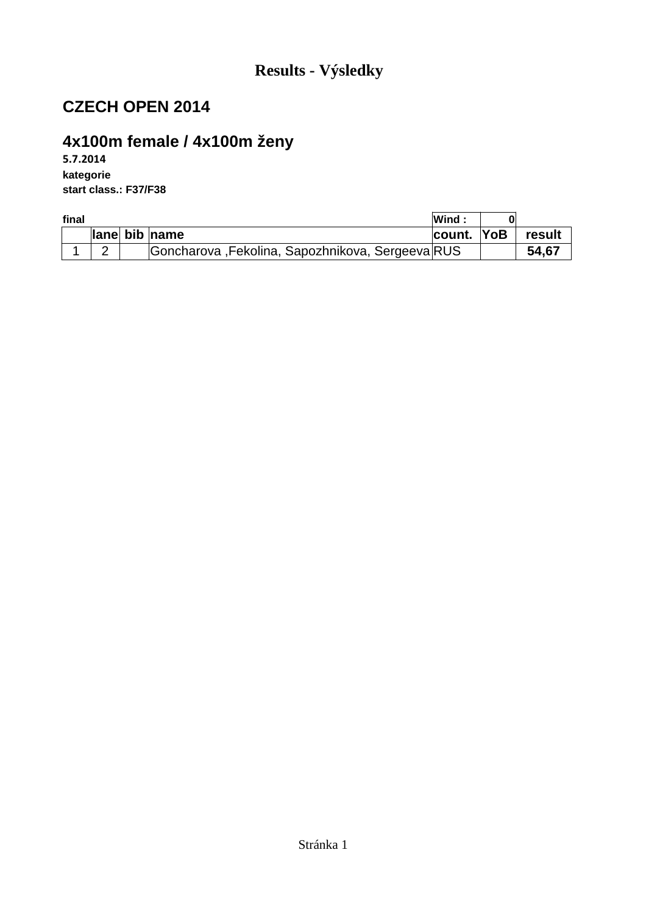# **4x100m female / 4x100m ženy**

**5.7.2014 kategorie start class.: F37/F38**

| final |   |                                                  | Wind:      |        |
|-------|---|--------------------------------------------------|------------|--------|
|       |   | lane bib name                                    | count. YoB | result |
|       | - | Goncharova, Fekolina, Sapozhnikova, Sergeeva RUS |            | 54,67  |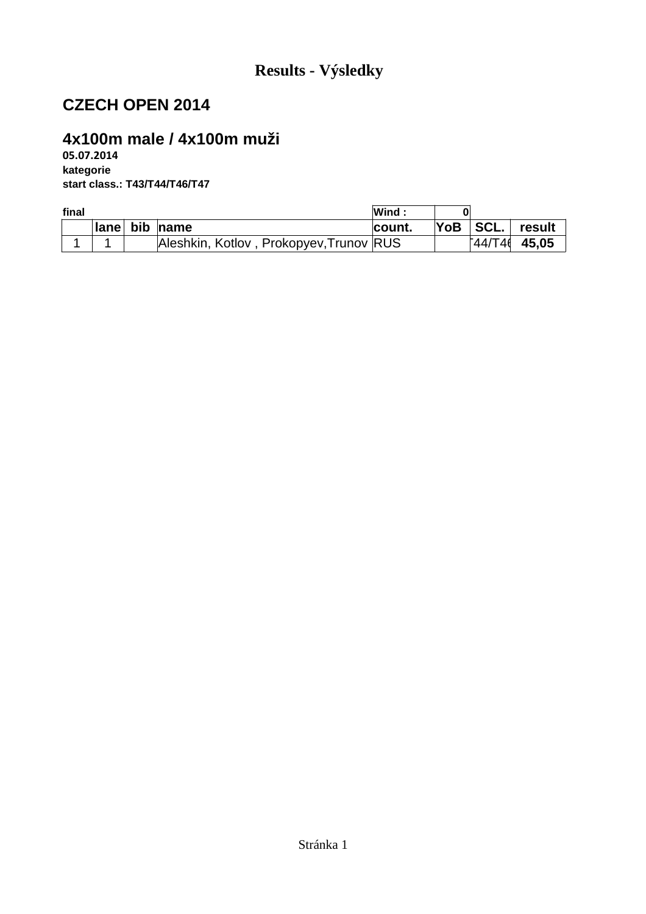### **4x100m male / 4x100m muži**

**05.07.2014 kategorie start class.: T43/T44/T46/T47**

| final |  |                                         | Wind:         |            |                             |
|-------|--|-----------------------------------------|---------------|------------|-----------------------------|
|       |  | lane bib name                           | <b>count.</b> | $YoB$ SCL. | result                      |
|       |  | Aleshkin, Kotlov, Prokopyev, Trunov RUS |               |            | $\sqrt{44}/\sqrt{14}$ 45.05 |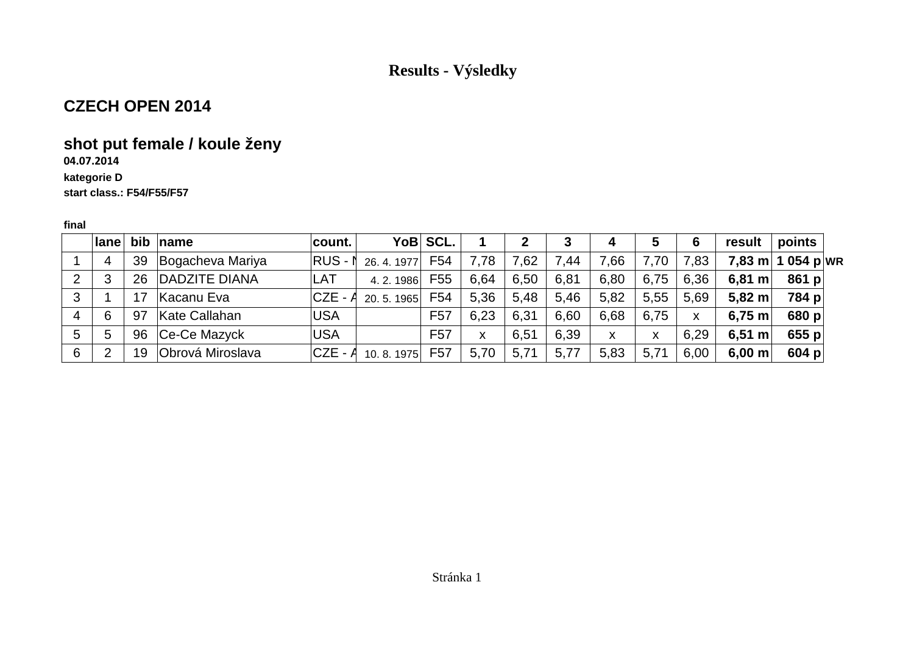### **CZECH OPEN 2014**

# **shot put female / koule ženy**

### **04.07.2014**

#### **kategorie Dstart class.: F54/F55/F57**

|   | <b>lane</b>    |    | bib $ name$      | ∣count.    |           | YoB SCL.        |      | $\mathbf 2$ | 3    | 4    | 5    | 6    | result             | points   |
|---|----------------|----|------------------|------------|-----------|-----------------|------|-------------|------|------|------|------|--------------------|----------|
|   | 4              | 39 | Bogacheva Mariya | RUS-1      | 26.4.1977 | F <sub>54</sub> | 7,78 | 7,62        | 7,44 | 7,66 | 7,70 | 7,83 | $7,83 \text{ m}$   | 1054 pwr |
| 2 | 3              | 26 | DADZITE DIANA    | LAT        | 4.2.1986  | F <sub>55</sub> | 6.64 | 6,50        | 6,81 | 6,80 | 6,75 | 6,36 | $6,81 \text{ m}$   | 861 $p$  |
| 3 |                |    | Kacanu Eva       | $CZE - A$  | 20.5.1965 | F <sub>54</sub> | 5,36 | 5,48        | 5,46 | 5,82 | 5,55 | 5,69 | $5.82$ m           | 784 p    |
| 4 | 6              | 97 | Kate Callahan    | <b>USA</b> |           | F <sub>57</sub> | 6.23 | 6,31        | 6.60 | 6.68 | 6,75 | X    | $6,75$ m           | 680 $p$  |
| 5 | 5              | 96 | $ Ce-Ce$ Mazyck  | <b>USA</b> |           | F <sub>57</sub> | X    | 6,51        | 6,39 | X    | X    | 6,29 | 6,51 m             | 655 $p$  |
| 6 | $\overline{2}$ | 19 | Obrová Miroslava | $CZE - A$  | 10.8.1975 | F <sub>57</sub> | 5,70 | 5,71        | 5,77 | 5,83 | 5,71 | 6,00 | $6,00 \, \text{m}$ | 604 p    |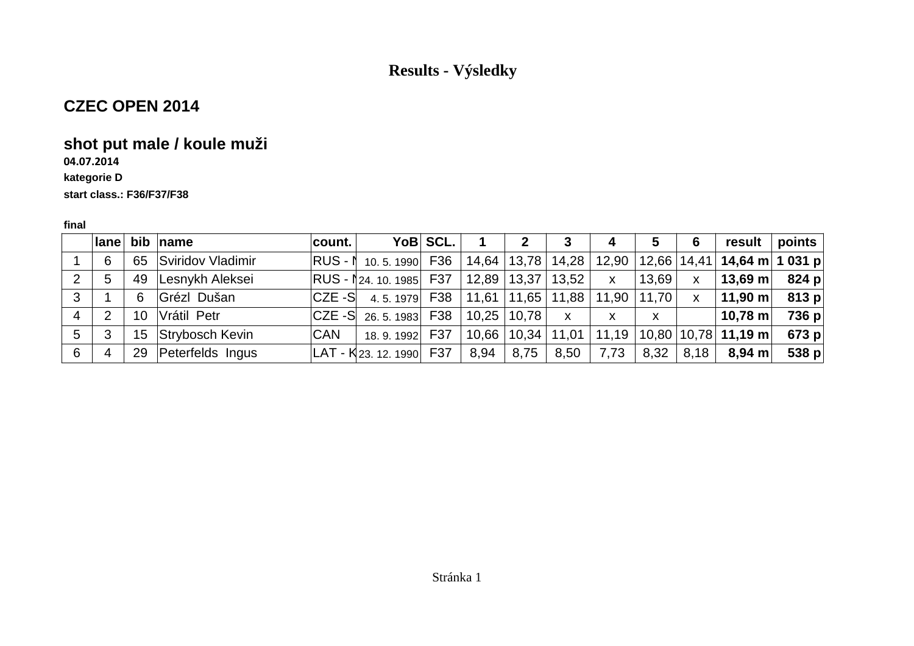### **CZEC OPEN 2014**

### **shot put male / koule muži**

# **04.07.2014**

#### **kategorie D**

#### **start class.: F36/F37/F38**

|   |                |                 | lane bib name      | count.     |                                                | YoB SCL. |                   |      | $\mathbf{3}$ | 4            | 5             | 6            | result <b>l</b>                                                                                     | $\vert$ points $\vert$ |
|---|----------------|-----------------|--------------------|------------|------------------------------------------------|----------|-------------------|------|--------------|--------------|---------------|--------------|-----------------------------------------------------------------------------------------------------|------------------------|
|   | 6              | 65              | Sviridov Vladimir  |            | RUS - 1 10.5.1990 F36                          |          |                   |      |              |              |               |              | 14,64   13,78   14,28   12,90   12,66   14,41   <b>14,64 m   1 031 p</b>                            |                        |
| 2 | 5              |                 | 49 Lesnykh Aleksei |            | RUS - 124. 10. 1985 F37                        |          | 12,89 13,37 13,52 |      |              | $\mathsf{X}$ | 13,69         | $\mathsf{x}$ | 13,69 m                                                                                             | 824 p                  |
| 3 |                | 6               | Grézl Dušan        |            | $ CZE-S $ 4.5.1979 F38   11,61   11,65   11,88 |          |                   |      |              | 11,90        | $11,70$ x     |              | $\vert$ 11,90 m $\vert$                                                                             | 813 p                  |
| 4 | $\overline{2}$ | 10 <sup>°</sup> | Vrátil Petr        |            | $ CZE-S $ 26, 5, 1983 F38 10, 25 10, 78        |          |                   |      | $\mathsf{X}$ | X            | X             |              | $10,78$ m                                                                                           | 736 p                  |
| 5 | 3              | 15 <sup>1</sup> | Strybosch Kevin    | <b>CAN</b> | 18.9.1992 F37                                  |          |                   |      |              |              |               |              | $\mid$ 10,66 $\mid$ 10,34 $\mid$ 11,01 $\mid$ 11,19 $\mid$ 10,80 $\mid$ 10,78 $\mid$ <b>11,19 m</b> | 673 p                  |
| 6 | 4              | 29              | Peterfelds Ingus   |            | $ LAT - K$ 23. 12. 1990 F37                    |          | 8,94              | 8,75 | $8,50$ $ $   | 7,73         | $8,32$   8,18 |              | 8,94 m∣                                                                                             | 538 $p$                |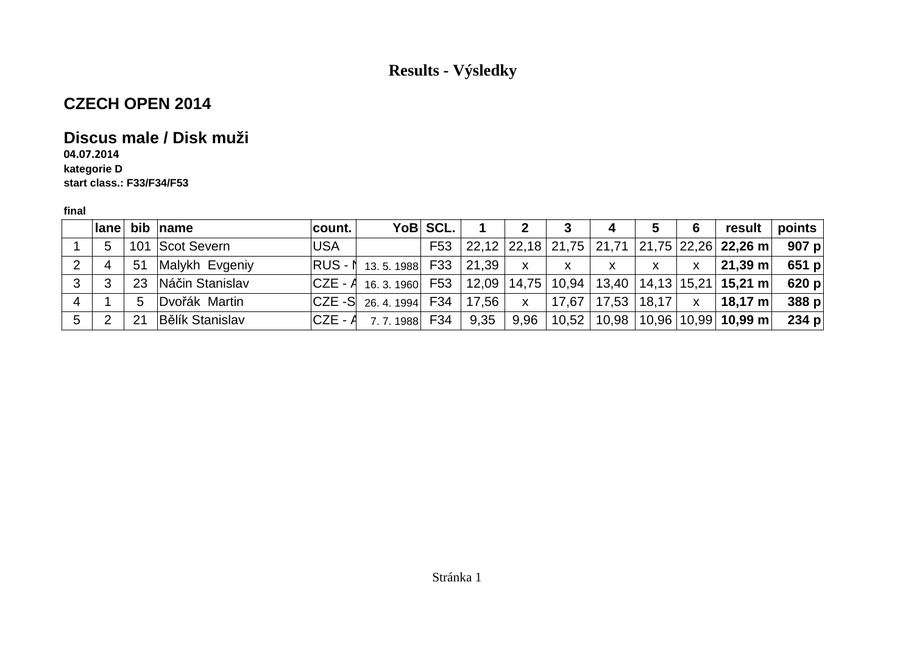## **CZECH OPEN 2014**

### **Discus male / Disk muži**

**04.07.2014 kategorie Dstart class.: F33/F34/F53**

|   |   |    | lane bib name          | count.     |                                                                                  | YoB SCL. |       | 2                         | 3                                                      | 4            | 5 | 6            | result                                                  | points  |
|---|---|----|------------------------|------------|----------------------------------------------------------------------------------|----------|-------|---------------------------|--------------------------------------------------------|--------------|---|--------------|---------------------------------------------------------|---------|
|   | 5 |    | 101 Scot Severn        | <b>USA</b> |                                                                                  | F53      |       |                           |                                                        |              |   |              | $ 22,12 22,18 21,75 21,71 21,75 22,26 22,26 \text{ m} $ | 907 $p$ |
| 2 | 4 | 51 | Malykh Evgeniy         |            | <b>RUS - 1</b> 13.5.1988 F33                                                     |          | 21,39 | $\mathsf{X}$              | $\mathsf{X}$                                           | $\mathsf{X}$ | X | $\mathsf{x}$ | $\vert$ 21,39 m $\vert$                                 | $651$ p |
| 3 | ູ |    | 23 Náčin Stanislav     |            | $ CZE - A_{16.3.1960} $ F53 $ 12,09 14,75 10,94 13,40 14,13 15,21 15,21 m$ 620 p |          |       |                           |                                                        |              |   |              |                                                         |         |
| 4 |   | 5  | Dvořák Martin          |            | $ CZE-S $ 26, 4, 1994   F34                                                      |          | 17.56 | $\boldsymbol{\mathsf{X}}$ | $\mid$ 17,67 $\mid$ 17,53 $\mid$ 18,17 $\mid$ x $\mid$ |              |   |              | $18,17 \text{ m}$                                       | 388 p   |
| 5 |   | 21 | <b>Bělík Stanislav</b> |            | $ CZE - A \quad 7.7.1988 $ F34                                                   |          | 9,35  |                           |                                                        |              |   |              | $9,96$   10,52   10,98   10,96   10,99   10,99 m        | 234 $p$ |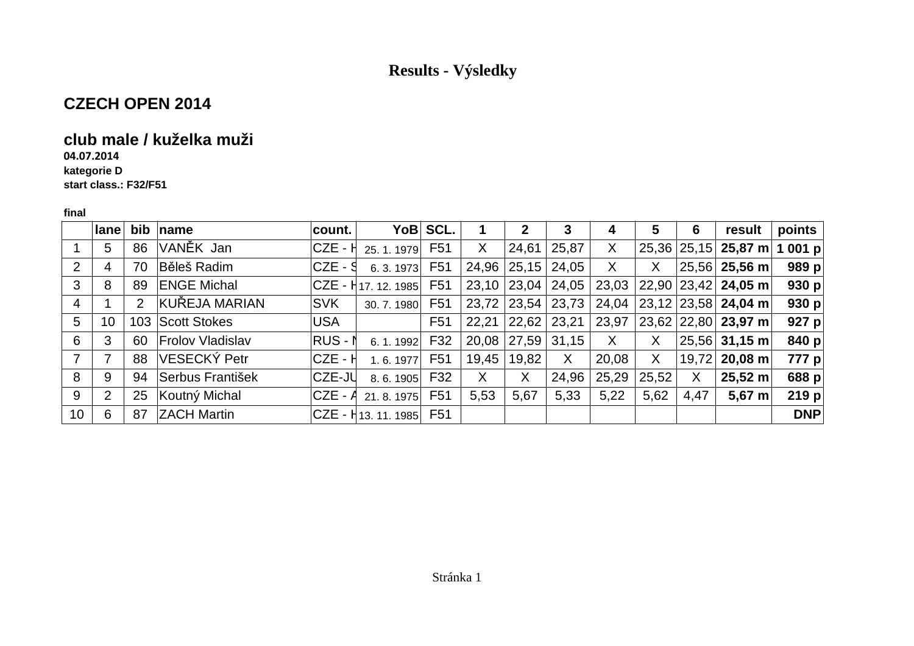### **CZECH OPEN 2014**

### **club male / kuželka muži**

**04.07.2014**

 **kategorie Dstart class.: F32/F51**

|                 | lane           | bib | name                    | count.     |                                   | YoB SCL.         |       | 2     | 3     | 4     | 5     | 6     | result                       | points     |
|-----------------|----------------|-----|-------------------------|------------|-----------------------------------|------------------|-------|-------|-------|-------|-------|-------|------------------------------|------------|
|                 | 5              | 86  | VANĚK Jan               | $CZE - H$  | 25.1.1979                         | F <sub>51</sub>  | X     | 24,61 | 25,87 | X     | 25,36 |       | $ 25,15 $ 25,87 m            | 1 001 $p$  |
| $\overline{2}$  | 4              | 70  | Běleš Radim             | $CZE - S$  | 6.3.1973                          | F <sub>5</sub> 1 | 24,96 | 25,15 | 24,05 | X     | Χ     |       | $25,56$ 25,56 m              | 989 $p$    |
| 3               | 8              | 89  | <b>ENGE Michal</b>      |            | CZE - H17. 12. 1985               | F <sub>51</sub>  | 23,10 | 23,04 | 24,05 | 23,03 | 22,90 |       | $ 23,42 $ 24,05 m            | 930 $p$    |
| 4               |                | 2   | KUŘEJA MARIAN           | <b>SVK</b> | 30.7.1980                         | F <sub>51</sub>  | 23,72 | 23,54 | 23,73 | 24,04 |       |       | $23,12$ 23,58 <b>24,04 m</b> | 930 $p$    |
| 5               | 10             | 103 | Scott Stokes            | <b>USA</b> |                                   | F <sub>5</sub> 1 | 22,21 | 22,62 | 23,21 | 23,97 |       |       | $23,62$ 22,80 <b>23,97 m</b> | 927 $p$    |
| 6               | 3              | 60  | <b>Frolov Vladislav</b> | $RUS - N$  | 6.1.1992                          | F32              | 20,08 | 27,59 | 31,15 | X     | X     | 25,56 | $31,15 \text{ m}$            | 840 p      |
| 7               | 7              | 88  | VESECKÝ Petr            | CZE - H    | 1.6.1977                          | F <sub>51</sub>  | 19,45 | 19,82 | X     | 20,08 | X     | 19,72 | $20,08$ m                    | 777 p      |
| 8               | 9              | 94  | Serbus František        | CZE-JU     | 8.6.1905                          | F32              | X     | X     | 24,96 | 25,29 | 25,52 | X     | $25,52 \; m$                 | 688 p      |
| 9               | $\overline{2}$ | 25  | Koutný Michal           | $CZE - A$  | 21.8.1975                         | F <sub>51</sub>  | 5,53  | 5,67  | 5,33  | 5,22  | 5,62  | 4,47  | 5,67 m                       | 219 $p$    |
| 10 <sup>°</sup> | 6              | 87  | <b>ZACH Martin</b>      |            | <sub>I</sub> CZE - Н13. 11. 1985∏ | F51              |       |       |       |       |       |       |                              | <b>DNP</b> |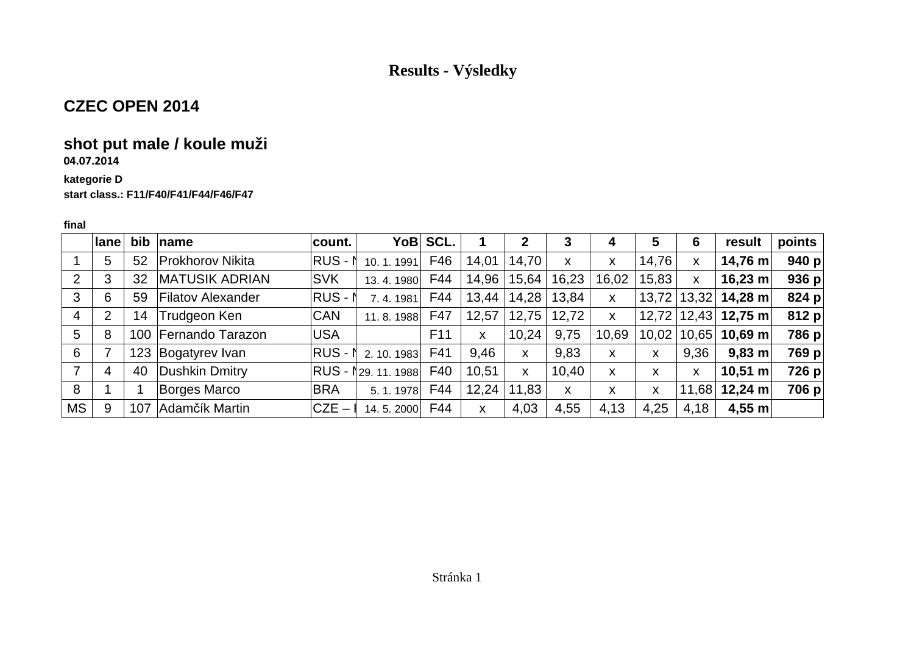### **CZEC OPEN 2014**

### **shot put male / koule muži**

**04.07.2014**

#### **kategorie Dstart class.: F11/F40/F41/F44/F46/F47**

|           | lane           | bib | $\mathsf{name}$          | count.                  | YoB SCL.        |       | 2     | 3     | 4            | 5     | 6     | result       | points  |
|-----------|----------------|-----|--------------------------|-------------------------|-----------------|-------|-------|-------|--------------|-------|-------|--------------|---------|
|           | 5              | 52  | <b>Prokhorov Nikita</b>  | $RUS - N$<br>10.1.1991  | F46             | 14,01 | 14,70 | X     | X            | 14,76 | X     | 14,76 m      | 940 $p$ |
| 2         | 3              | 32  | <b>MATUSIK ADRIAN</b>    | <b>SVK</b><br>13.4.1980 | F44             | 14,96 | 15,64 | 16,23 | 16,02        | 15,83 | X     | $16,23 \; m$ | 936 p   |
| 3         | 6              | 59  | <b>Filatov Alexander</b> | $RUS - N$<br>7.4.1981   | F44             | 13,44 | 14,28 | 13,84 | X            | 13,72 | 13,32 | 14,28 m      | 824 p   |
| 4         | $\overline{2}$ | 14  | Trudgeon Ken             | <b>CAN</b><br>11.8.1988 | F47             | 12,57 | 12,75 | 12,72 | $\mathsf{x}$ | 12,72 | 12,43 | 12,75 m      | 812 p   |
| 5         | 8              | 100 | Fernando Tarazon         | <b>USA</b>              | F <sub>11</sub> | X     | 10,24 | 9,75  | 10,69        | 10,02 | 10,65 | 10,69 m      | 786 p   |
| 6         |                | 123 | Bogatyrev Ivan           | $RUS - N$<br>2.10.1983  | F41             | 9,46  | X     | 9,83  | x            | x     | 9.36  | $9,83 \; m$  | 769 p   |
| 7         | 4              | 40  | Dushkin Dmitry           | RUS - I 29. 11. 1988    | F40             | 10,51 | X     | 10,40 | X            | X     | X     | $10,51 \; m$ | 726 p   |
| 8         |                |     | <b>Borges Marco</b>      | <b>BRA</b><br>5.1.1978  | F44             | 12,24 | 11,83 | X     | x            | X     | 11,68 | $12,24 \; m$ | 706 p   |
| <b>MS</b> | 9              | 107 | Adamčík Martin           | $CZE -$<br>14.5.2000    | F44             | X     | 4,03  | 4,55  | 4,13         | 4,25  | 4,18  | 4,55 m       |         |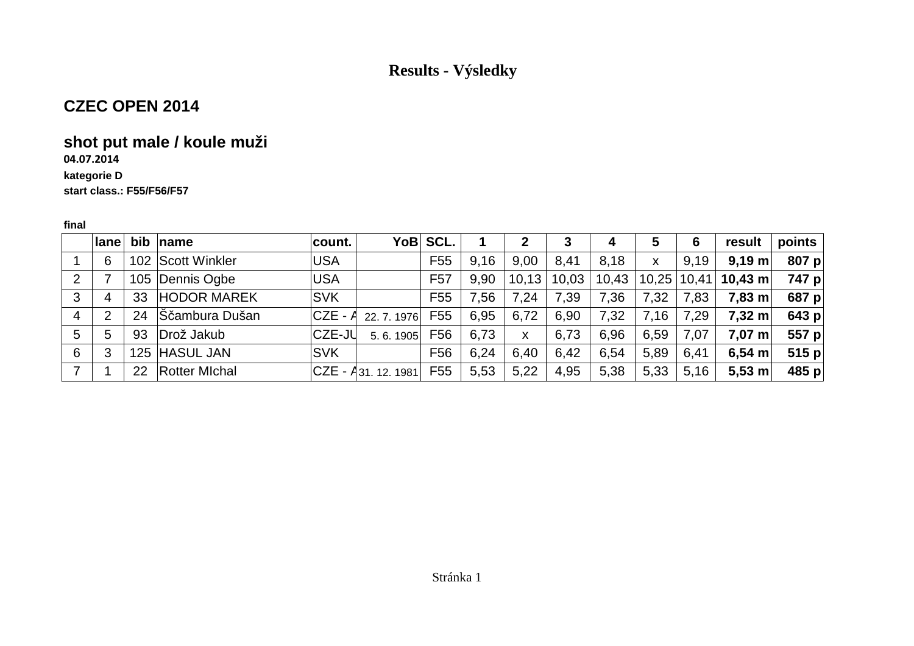### **CZEC OPEN 2014**

## **shot put male / koule muži**

### **04.07.2014**

#### **kategorie Dstart class.: F55/F56/F57**

|   | <b>lane</b> |    | bib $ name$          | count.     |                         | YoB SCL.        |      | 2     | 3     | 4     | 5     | 6     | result             | points  |
|---|-------------|----|----------------------|------------|-------------------------|-----------------|------|-------|-------|-------|-------|-------|--------------------|---------|
|   | 6           |    | 102 Scott Winkler    | <b>USA</b> |                         | F <sub>55</sub> | 9,16 | 9.00  | 8,41  | 8,18  | X     | 9,19  | $9,19 \text{ m}$   | 807 $p$ |
| 2 |             |    | 105 Dennis Ogbe      | <b>USA</b> |                         | F <sub>57</sub> | 9.90 | 10,13 | 10,03 | 10,43 | 10,25 | 10,41 | $10,43$ m          | 747 p   |
| 3 | 4           | 33 | <b>HODOR MAREK</b>   | <b>SVK</b> |                         | F <sub>55</sub> | 7,56 | 7,24  | 7,39  | 7,36  | 7,32  | 7,83  | $7,83 \; \text{m}$ | 687 $p$ |
| 4 | 2           | 24 | ∫Ščambura Dušan      | $CZE - A$  | 22.7.1976               | F55             | 6,95 | 6,72  | 6,90  | 7,32  | 7,16  | 7,29  | $7,32 \; \text{m}$ | 643 p   |
| 5 | 5           | 93 | Drož Jakub           | CZE-JU     | 5.6.1905                | F56             | 6,73 | X     | 6,73  | 6,96  | 6,59  | 7,07  | $7,07 \text{ m}$   | 557 p   |
| 6 | 3           |    | 125 HASUL JAN        | <b>SVK</b> |                         | F <sub>56</sub> | 6,24 | 6,40  | 6,42  | 6,54  | 5,89  | 6,41  | 6,54 m             | 515 $p$ |
|   |             | 22 | <b>Rotter Michal</b> |            | $ CZE - A31. 12. 1981 $ | F <sub>55</sub> | 5,53 | 5,22  | 4,95  | 5,38  | 5,33  | 5,16  | $5,53 \; m$        | 485 $p$ |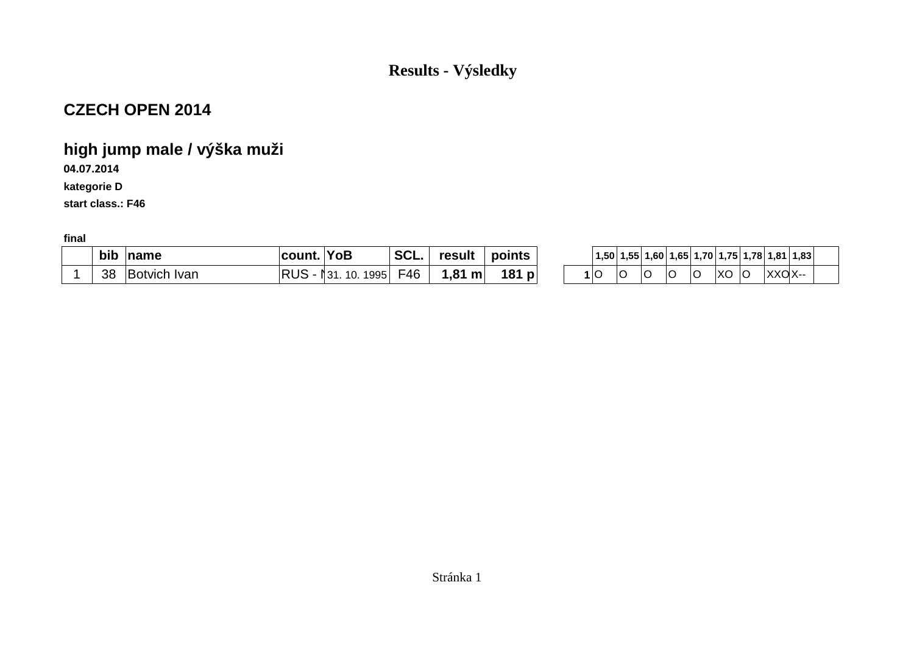### **CZECH OPEN 2014**

# **high jump male / výška muži**

**04.07.2014**

**kategorie D**

**start class.: F46**

| bib | name                   | COLIN | <b>YoB</b>                 | $\sim$<br>JUL | result                       | points             | 1,50 | 1.55 | .60 <sup>1</sup> | 1.65 | 1.70                | 1.75              | 1.78   | 1,81   | 1,83 |
|-----|------------------------|-------|----------------------------|---------------|------------------------------|--------------------|------|------|------------------|------|---------------------|-------------------|--------|--------|------|
| 38  | <b>Ivan</b><br>sotvich | סו וח | 995<br>$\sim$<br>يج -<br>◡ | ™46           | O <sub>4</sub><br>m<br>. . О | 181<br>$\sim$<br>M |      | ◡    |                  |      | $\sim$<br>$\cdot$ C | $\sqrt{2}$<br>nu. | ⌒<br>ັ | XXOX-- |      |

| YoB                | SCL. | result $\, \mid$ points $\, \cdot$ |         |  |  |   |       |      | $\mid$ 1,50 $\mid$ 1,55 $\mid$ 1,60 $\mid$ 1,65 $\mid$ 1,70 $\mid$ 1,75 $\mid$ 1,78 $\mid$ 1,81 $\mid$ 1,83 $\mid$ |  |
|--------------------|------|------------------------------------|---------|--|--|---|-------|------|--------------------------------------------------------------------------------------------------------------------|--|
| 31. 10. 1995 F46 I |      | $^{\circ}$ 1,81 m $\vert$          | 181 $p$ |  |  | O | XO  O | XXOX |                                                                                                                    |  |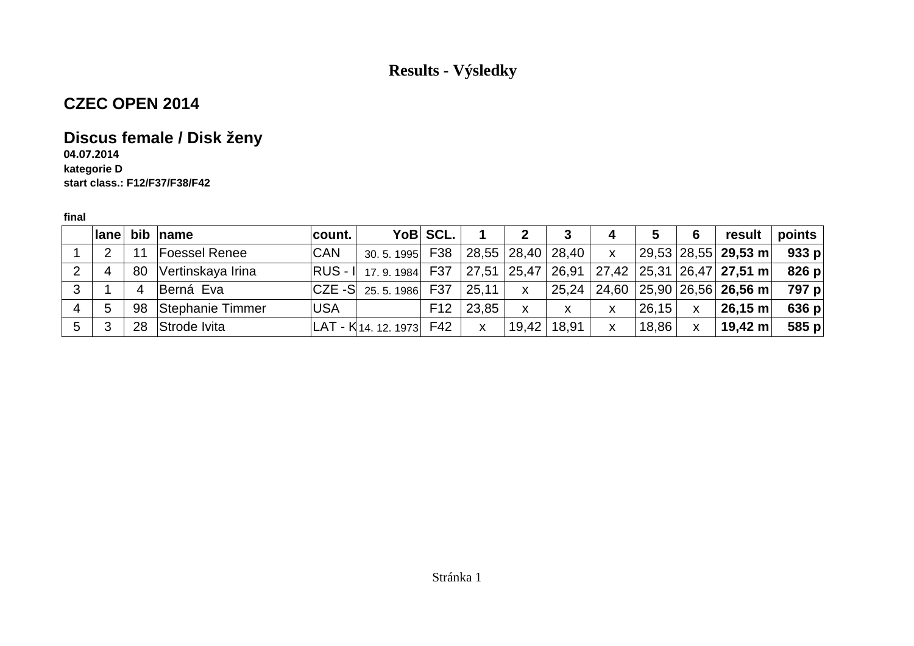### **CZEC OPEN 2014**

### **Discus female / Disk ženy**

**04.07.2014 kategorie Dstart class.: F12/F37/F38/F42**

|   |               |                | Iane bib name        | ∣count. I  |                                                                       | YoB SCL. |              |              | 3             | 4            | 5     | 6            | result                                                                                              | points $\mid$ |
|---|---------------|----------------|----------------------|------------|-----------------------------------------------------------------------|----------|--------------|--------------|---------------|--------------|-------|--------------|-----------------------------------------------------------------------------------------------------|---------------|
|   | $\mathcal{P}$ | 11             | <b>Foessel Renee</b> | <b>CAN</b> | 30.5.1995 F38 28,55 28,40 28,40                                       |          |              |              |               | $\mathsf{X}$ |       |              | $ 29,53 28,55 $ 29,53 m                                                                             | 933 p         |
| 2 | 4             | 80             | Vertinskaya Irina    |            | $ RUS - I $ 17.9.1984 F37 27,51 25,47 26,91 27,42 25,31 26,47 27,51 m |          |              |              |               |              |       |              |                                                                                                     | 826 p         |
| 3 |               | $\overline{4}$ | Berná Eva            |            | $ CZE-S $ 25.5.1986 F37                                               |          | 25.11        | $\mathsf{X}$ |               |              |       |              | $\vert$ 25,24 $\vert$ 24,60 $\vert$ 25,90 $\vert$ 26,56 $\vert$ <b>26,56 m</b> $\vert$ <b>797 p</b> |               |
| 4 | 5             |                | 98 Stephanie Timmer  | <b>USA</b> |                                                                       | F12      | 23,85        | X            | X             | X            | 26,15 | $\mathsf{X}$ | $\vert$ 26,15 m $\vert$                                                                             | 636 $p$       |
| 5 | 3             | 28             | Strode Ivita         |            | $ LAT - K$ 14. 12. 1973 F42                                           |          | $\mathsf{x}$ |              | 19,42   18,91 | $\mathsf{X}$ | 18,86 | $\mathsf{X}$ | $ 19,42 \text{ m} $                                                                                 | 585 p         |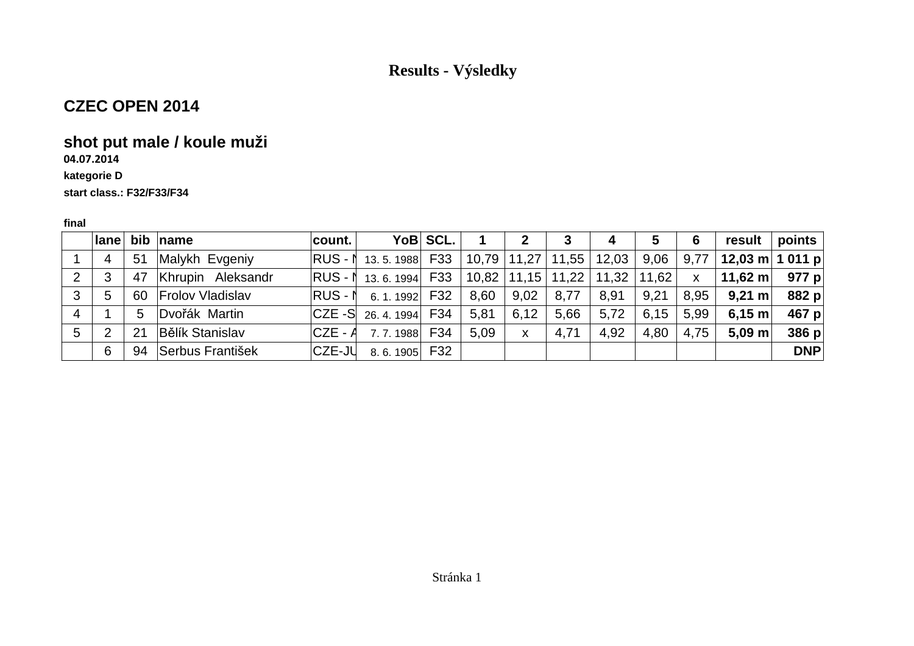# **CZEC OPEN 2014**

## **shot put male / koule muži**

### **04.07.2014**

#### **kategorie D**

**start class.: F32/F33/F34**

|   |                |    | lane bib name          | ∣count. I |                                                  | YoB SCL. |      | $\mathbf{2}$ | $\mathbf{3}$ | 4    | 5         | 6    |                             | result   points |
|---|----------------|----|------------------------|-----------|--------------------------------------------------|----------|------|--------------|--------------|------|-----------|------|-----------------------------|-----------------|
|   | $\overline{4}$ | 51 | Malykh Evgeniy         |           |                                                  |          |      |              |              |      | 9,06      | 9,77 | $ $ 12,03 m $ $ 1 011 p $ $ |                 |
| 2 | 3              | 47 | Khrupin Aleksandr      |           | $ RUS - N$ 13.6.1994 F33 10,82 11,15 11,22 11,32 |          |      |              |              |      | $11,62$ x |      | $ 11,62 \text{ m} $ 977 p   |                 |
| 3 | 5              |    | 60 Frolov Vladislav    |           | $ RUS - N \quad 6.1.1992 $ F32                   |          | 8,60 | 9,02         | 8,77         | 8,91 | 9,21      | 8.95 | $9,21 \text{ m}$            | 882 p           |
| 4 |                | 5  | Dvořák Martin          |           | $ CZE-S $ 26, 4, 1994 F34                        |          | 5,81 | 6,12         | 5,66         | 5,72 | 6,15      | 5.99 | 6,15 m                      | 467 p           |
| 5 | 2              | 21 | <b>Bělík Stanislav</b> |           | $ CZE - A \quad$ 7.7.1988 F34                    |          | 5.09 | $\mathsf{X}$ | 4,71         | 4,92 | 4,80      | 4,75 | $5,09 \text{ m}$            | 386 p           |
|   | 6              | 94 | Serbus František       |           | $ CZE-JU$ 8.6.1905 F32                           |          |      |              |              |      |           |      |                             | <b>DNP</b>      |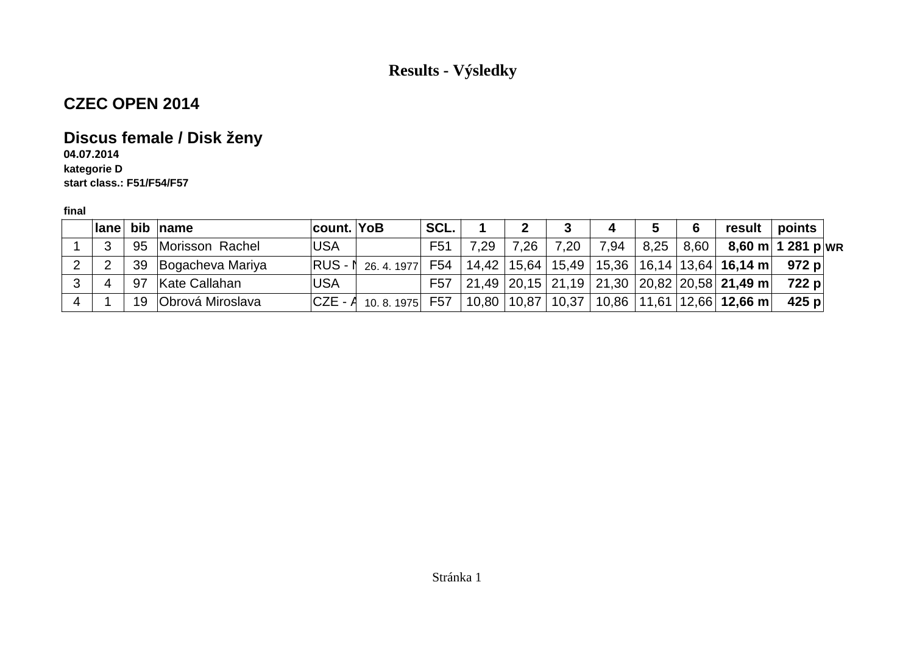### **CZEC OPEN 2014**

### **Discus female / Disk ženy**

**04.07.2014 kategorie Dstart class.: F51/F54/F57**

| ∣lane⊺ |    | bib name                | count. YoB |                       | SCL.            |       |      | 3                       | 4    |      |      | result                                                              | points              |  |
|--------|----|-------------------------|------------|-----------------------|-----------------|-------|------|-------------------------|------|------|------|---------------------------------------------------------------------|---------------------|--|
|        | 95 | Morisson Rachel         | <b>USA</b> |                       | F <sub>51</sub> | 7,29  | 7,26 | 7,20                    | 7,94 | 8,25 | 8,60 |                                                                     | $8,60$ m 1 281 p WR |  |
|        | 39 | Bogacheva Mariya        | $RUS - I$  | 26.4.1977             | F54             |       |      | $14,42$   15,64   15,49 |      |      |      | $\mid$ 15,36 $\mid$ 16,14 $\mid$ 13,64 $\mid$ <b>16,14 m</b> $\mid$ | 972 p               |  |
|        | 97 | Kate Callahan           | <b>USA</b> |                       | F57             |       |      |                         |      |      |      | 21,49   20,15   21,19   21,30   20,82   20,58   21,49 m             | 722 pl              |  |
|        | 19 | <b>Obrová Miroslava</b> |            | $ CZE - A $ 10.8.1975 | F57             | 10,80 |      | 10.87 10.37             |      |      |      | $10,86$   11,61   12,66   <b>12,66 m</b>                            | 425 $p$             |  |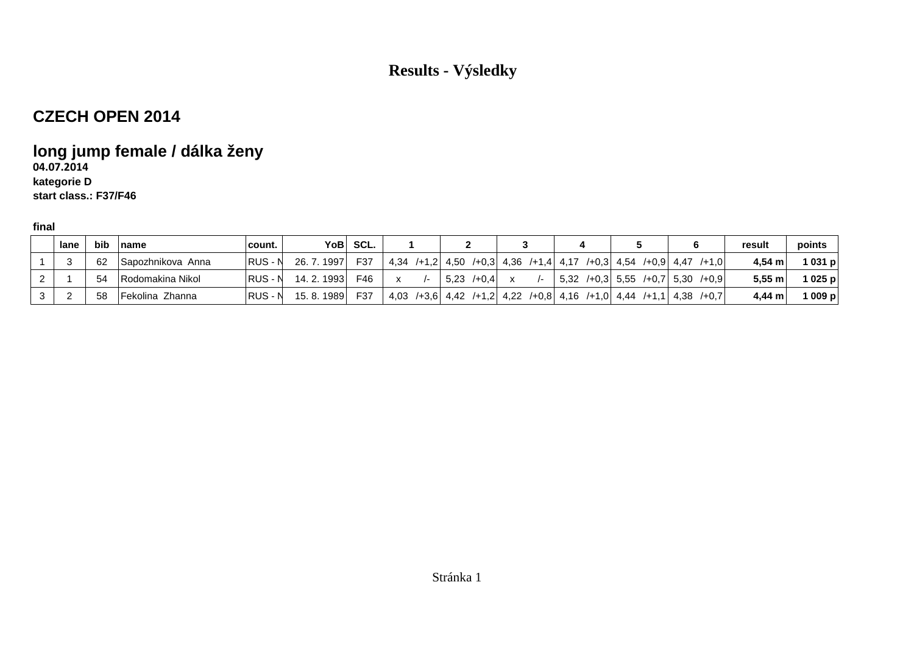### **CZECH OPEN 2014**

# **long jump female / dálka ženy**

#### **04.07.2014kategorie D**

**start class.: F37/F46**

| lane | bib | ˈname             | count.  | YoB∣        | SCL. |                                                                   |  |                 |  |  |  |                                    | result      | points |
|------|-----|-------------------|---------|-------------|------|-------------------------------------------------------------------|--|-----------------|--|--|--|------------------------------------|-------------|--------|
|      | 62  | Sapozhnikova Anna | RUS - N | 26, 7, 1997 | F37  | 4,34 /+1,2 4,50 /+0,3 4,36 /+1,4 4,17 /+0,3 4,54 /+0,9 4,47 /+1,0 |  |                 |  |  |  |                                    | $4.54 \; m$ | 1031 p |
|      | -54 | Rodomakina Nikol  | RUS - N | 14.2.1993   | F46  |                                                                   |  | $5.23 \div 0.4$ |  |  |  | $5,32$ /+0,3 5,55 /+0,7 5,30 /+0,9 | 5,55 m      | 1025p  |
|      | 58  | Fekolina Zhanna   | RUS - N | 15.8.1989   | F37  | 4,03 /+3,6 4,42 /+1,2 4,22 /+0,8 4,16 /+1,0 4,44 /+1,1 4,38 /+0,7 |  |                 |  |  |  |                                    | 4,44 m      | 1009p  |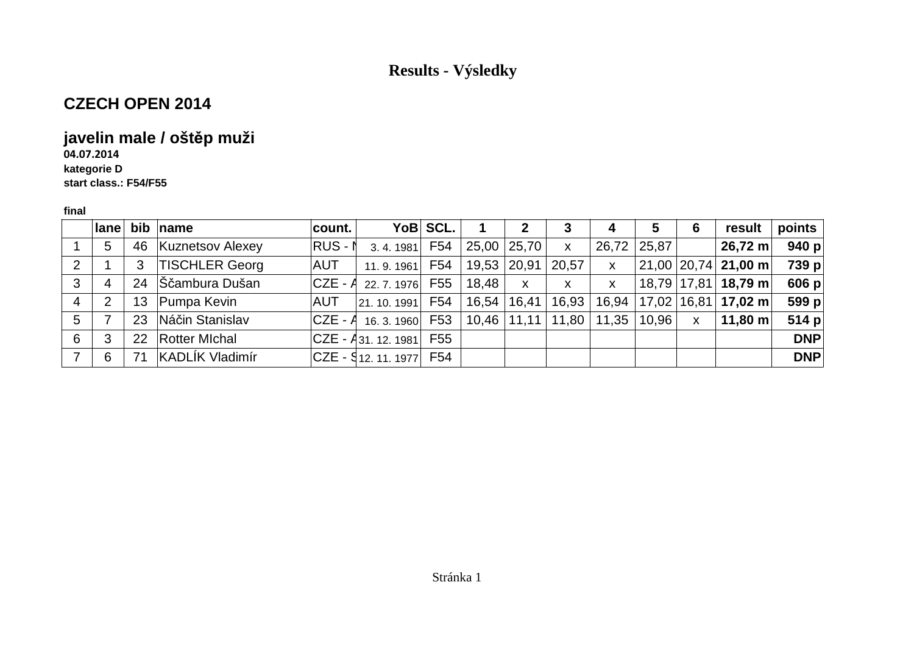## **CZECH OPEN 2014**

## **javelin male / oštěp muži**

**04.07.2014**

 **kategorie Dstart class.: F54/F55**

|                | $ $ ane | bib             | name                    | count.  |                             | YoB SCL. |                 |              |                           | 4            | 5     | 6            | result                           | points     |
|----------------|---------|-----------------|-------------------------|---------|-----------------------------|----------|-----------------|--------------|---------------------------|--------------|-------|--------------|----------------------------------|------------|
|                | 5       | 46              | <b>Kuznetsov Alexey</b> | RUS - N | 3, 4, 1981                  | F54      | $25,00$   25,70 |              | $\mathsf{X}$              | 26,72        | 25,87 |              | $26,72 \text{ m}$                | 940 $p$    |
| $\overline{2}$ |         |                 | <b>TISCHLER Georg</b>   | AUT     | 11.9.1961                   | F54      | 19,53 20,91     |              | 20,57                     | $\mathsf{X}$ |       |              | $21,00$   20,74   <b>21,00 m</b> | 739 p      |
| 3              | 4       | 24              | Sčambura Dušan          |         | $ CZE - A_{22.7.1976} $ F55 |          | 18,48           | $\mathsf{x}$ | $\boldsymbol{\mathsf{X}}$ | $\mathsf{x}$ |       |              | 18,79   17,81   <b>18,79 m</b>   | 606 p      |
| 4              | 2       | 13 <sup>°</sup> | Pumpa Kevin             | AUT     | $ 21. 10. 1991 $ F54        |          | $16,54$   16,41 |              | 16,93                     | 16,94        |       |              | $17,02$   16,81   17,02 m        | 599 p      |
| 5              |         | 23              | Náčin Stanislav         |         | $ CZE - A $ 16. 3. 1960 F53 |          |                 |              | ∣ 10,46   11,11   11,80   | 11,35        | 10,96 | $\mathsf{X}$ | 11,80 m $ $                      | 514 $p$    |
| 6              | 3       | 22              | <b>Rotter Michal</b>    |         | $ CZE - A_{31, 12, 1981} $  | F55      |                 |              |                           |              |       |              |                                  | <b>DNP</b> |
|                | 6       | 71              | KADLÍK Vladimír         |         |                             |          |                 |              |                           |              |       |              |                                  | <b>DNP</b> |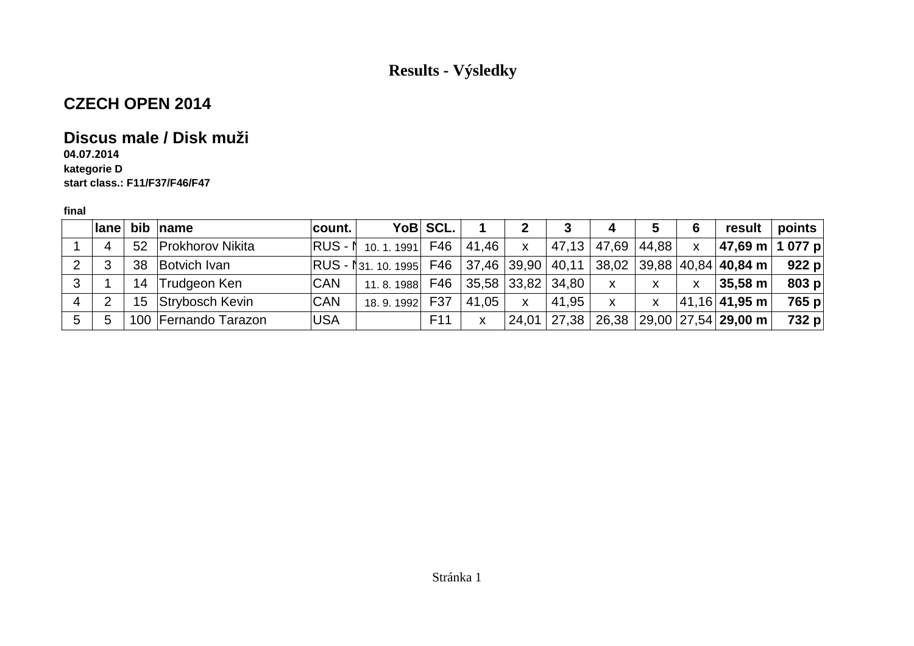## **CZECH OPEN 2014**

### **Discus male / Disk muži**

**04.07.2014 kategorie Dstart class.: F11/F37/F46/F47**

|   |   |    | lane bib name        | count. I   |                                                                             | YoB SCL.        |       | $\mathbf{2}$ | 3                 | 4            | 5     | 6            | result                                                              | $\mathsf{points} \mid$ |
|---|---|----|----------------------|------------|-----------------------------------------------------------------------------|-----------------|-------|--------------|-------------------|--------------|-------|--------------|---------------------------------------------------------------------|------------------------|
|   | 4 |    | 52 Prokhorov Nikita  |            | RUS - N 10.1.1991 F46                                                       |                 | 41,46 | $\mathsf{X}$ | 47,13             | 47,69        | 44,88 | $\mathsf{x}$ | ∣47,69 m ∣ 1 077 p∣                                                 |                        |
| 2 | 3 | 38 | Botvich Ivan         |            | $ RUS - N31. 10. 1995 $ F46 $ 37,46 39,90 40,11 38,02 39,88 40,84 40,84 m $ |                 |       |              |                   |              |       |              |                                                                     | 922 p                  |
| 3 |   |    | 14 Trudgeon Ken      | <b>CAN</b> | 11.8.1988                                                                   | F46             |       |              | 35,58 33,82 34,80 | $\mathsf{x}$ | X     | X            | $\vert$ 35.58 m $\vert$                                             | 803 $p$                |
| 4 | ာ |    | 15 Strybosch Kevin   | <b>CAN</b> | 18.9.1992 F37                                                               |                 | 41,05 | $\mathsf{x}$ | 41,95             | $\mathsf{X}$ | X     |              | $ 41,16 $ 41,95 m                                                   | 765 p                  |
| 5 | 5 |    | 100 Fernando Tarazon | <b>USA</b> |                                                                             | F <sub>11</sub> | X     |              | $24,01$   27,38   |              |       |              | $\mid$ 26,38 $\mid$ 29,00 $\mid$ 27,54 $\mid$ <b>29,00 m</b> $\mid$ | 732 p                  |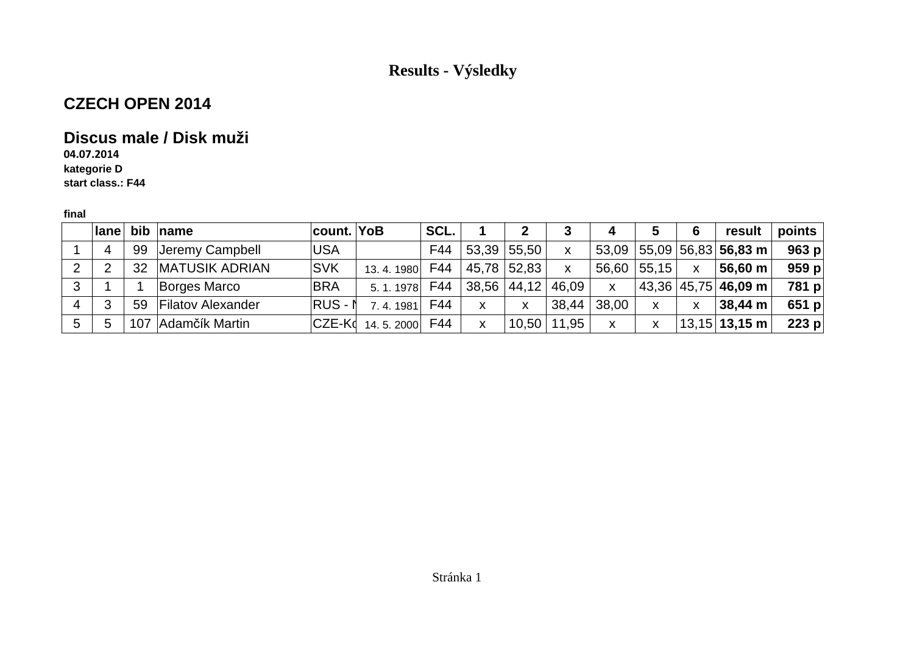## **CZECH OPEN 2014**

### **Discus male / Disk muži**

**04.07.2014kategorie D**

**start class.: F44**

|   | <b>lane</b> |                 | bib $ name$              | <b>count. YoB</b>       | SCL. |                                     |             | 3     | 4            |       | 6                         | result                                          | points  |
|---|-------------|-----------------|--------------------------|-------------------------|------|-------------------------------------|-------------|-------|--------------|-------|---------------------------|-------------------------------------------------|---------|
|   | 4           | 99              | Jeremy Campbell          | USA                     | F44  | 53,39                               | 55,50       | X     |              |       |                           | $53,09$ 55,09 56,83 56,83 m                     | 963 p   |
| 2 | റ           | 32 <sup>2</sup> | <b>MATUSIK ADRIAN</b>    | <b>SVK</b><br>13.4.1980 | F44  |                                     | 45,78 52,83 | X     | 56,60        | 55,15 | $\boldsymbol{\mathsf{X}}$ | <b>l</b> 56,60 m ∣                              | 959 p   |
| 3 |             |                 | Borges Marco             | <b>BRA</b><br>5.1.1978  | F44  | $\vert$ 38,56 $\vert$ 44,12 $\vert$ |             | 46,09 | $\mathsf{X}$ |       |                           | $\mid$ 43,36 $\mid$ 45,75 $\mid$ 46,09 m $\mid$ | 781 p   |
| 4 | વ           | 59              | <b>Filatov Alexander</b> | $RUS - N$<br>7.4.1981   | F44  | X                                   | x           | 38,44 | 38,00        | x     | X                         | 38,44 m                                         | 651 $p$ |
| 5 | 5           | 107             | Adamčík Martin           | $ CZE-K$ d 14.5.2000    | F44  | X                                   | 10,50       | 11,95 | x            | x     |                           | $13,15$ 13,15 m                                 | 223 $p$ |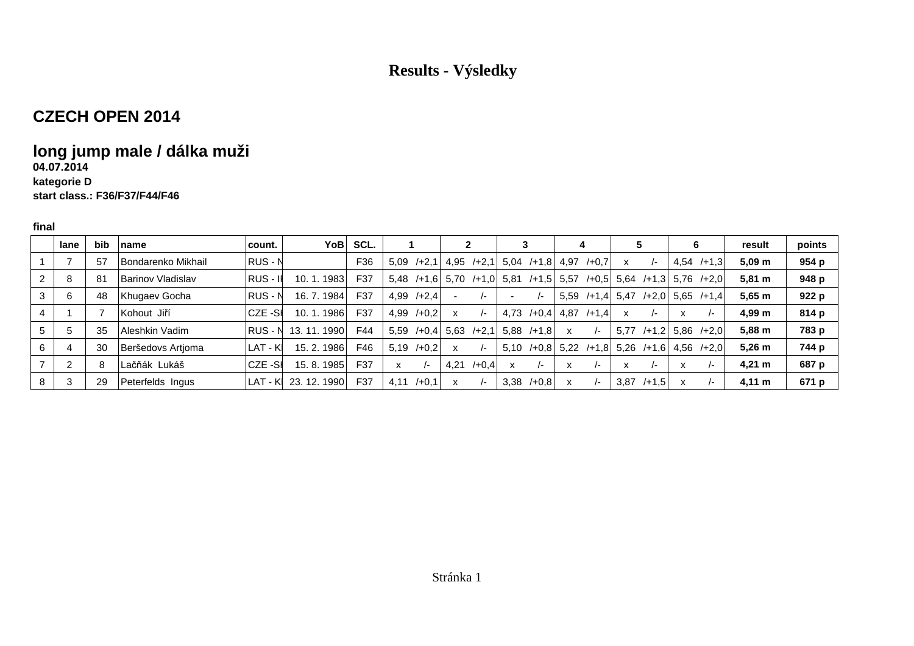### **CZECH OPEN 2014**

## **long jump male / dálka muži**

### **04.07.2014**

#### **kategorie Dstart class.: F36/F37/F44/F46**

|                | lane | bib | name                     | count.   | YoB∣           | SCL. |                  |                           |                   |                 | 5                          | 6                    | result            | points |
|----------------|------|-----|--------------------------|----------|----------------|------|------------------|---------------------------|-------------------|-----------------|----------------------------|----------------------|-------------------|--------|
|                |      | 57  | Bondarenko Mikhail       | RUS - N  |                | F36  | $/+2.1$<br>5.09  | $4,95$ $/+2,1$            | $5,04$ /+1,8 4,97 | $/ + 0.7$       | $\mathsf{x}$               | $4,54$ $/+1,3$       | 5.09 <sub>m</sub> | 954 p  |
| 2              |      | -81 | <b>Barinov Vladislav</b> | RUS - If | 10.1.1983      | F37  | 5.48<br>$/+1.6$  | 5.70<br>$/+1.0$           | 5,81              | /+1,5 5.57      | /+0.5 5.64                 | $/+1,3$ 5.76 $/+2,0$ | $5,81 \; m$       | 948 p  |
| 3              |      | 48  | Khugaev Gocha            | RUS - N  | 16.7.1984      | F37  | $/+2,4$<br>4,99  | $\overline{\phantom{a}}$  | $\sqrt{-}$        | 5.59<br>$/+1.4$ | 5,47                       | $/+2.0$ 5.65 $/+1.4$ | $5,65 \; m$       | 922 p  |
| $\overline{4}$ |      |     | Kohout Jiří              | CZE -SI  | . 1986<br>10.1 | F37  | 4,99<br>$/+0.2$  | $\sqrt{2}$                | 4.73<br>$/ + 0.4$ | 4,87<br>$/+1.4$ | $\mathsf{x}$<br>$\sqrt{-}$ | x                    | 4,99 m            | 814 p  |
| 5              |      | 35  | Aleshkin Vadim           | RUS - N  | 13.11.1990     | F44  | 5.59<br>$/ +0.4$ | 5,63<br>$/+2,1$           | 5.88<br>$/+1.8$   | x<br>$\sqrt{-}$ | 5.77<br>$/+1,2$            | $5,86$ /+2,0         | $5,88 \; m$       | 783 p  |
| 6              |      | 30  | Beršedovs Artioma        | LAT - KI | 15.2.1986      | F46  | 5.19<br>$/+0.2$  | $\boldsymbol{\mathsf{x}}$ | $/ + 0.8$<br>5.10 | 5.22<br>$/+1,8$ | 5,26                       | $/+1.6$ 4.56 $/+2.0$ | $5,26 \; m$       | 744 p  |
|                |      |     | Lačňák Lukáš             | CZE -SI  | 15, 8, 1985    | F37  | x<br>$\sqrt{-}$  | $/ + 0.4$<br>4,21         | $\sqrt{-}$        | x               | x<br>$\sqrt{2}$            | x                    | $4,21 \; m$       | 687 p  |
| 8              |      | 29  | Peterfelds Ingus         | LAT - Kl | 23, 12, 1990   | F37  | $/ +0.1$<br>4.11 | $\boldsymbol{\mathsf{x}}$ | $/+0.8$<br>3,38   | $\prime$ -      | 3,87<br>$/+1,5$            |                      | $4,11 \; m$       | 671 p  |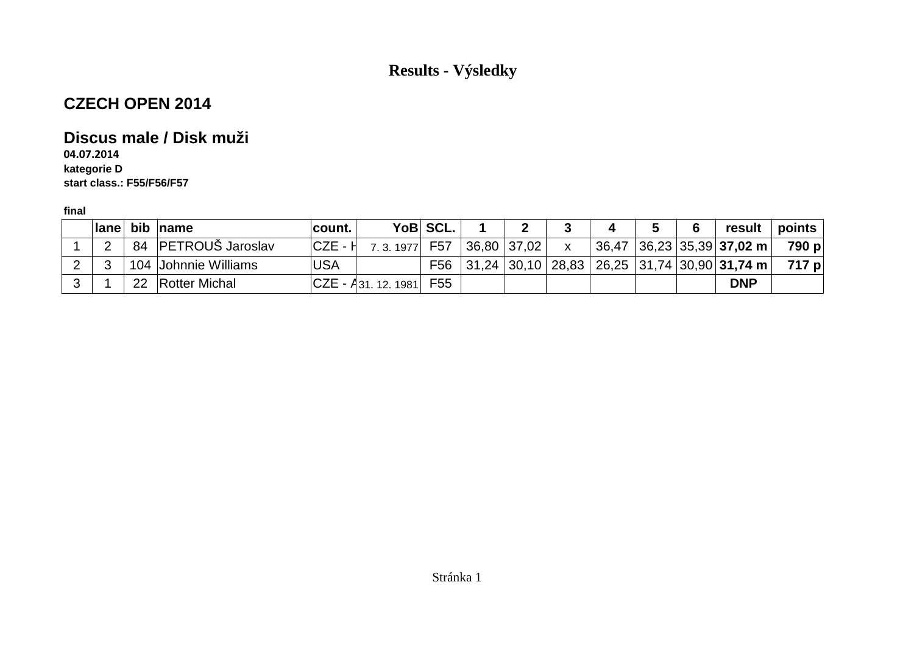## **CZECH OPEN 2014**

### **Discus male / Disk muži**

**04.07.2014 kategorie Dstart class.: F55/F56/F57**

| lane bib |    | name                    | count.   |                          | YoB SCL.                |             |  | C | result                                          | $points \mid$ |
|----------|----|-------------------------|----------|--------------------------|-------------------------|-------------|--|---|-------------------------------------------------|---------------|
| ົ        | 84 | <b>PETROUS Jaroslav</b> | ∣CZE - H | 7.3.1977                 | $\degree$ F57 $\degree$ | 36,80 37,02 |  |   | $36,47$   36,23   35,39   <b>37,02 m</b>        | 790 p         |
|          |    | 104 Johnnie Williams    | USA      |                          | F56 l                   |             |  |   | $ 31,24 30,10 28,83 26,25 31,74 30,90 31,74 m $ | 717 p         |
|          | 22 | <b>Rotter Michal</b>    |          | $ CZE - A_{31.12.1981} $ | F55                     |             |  |   | <b>DNP</b>                                      |               |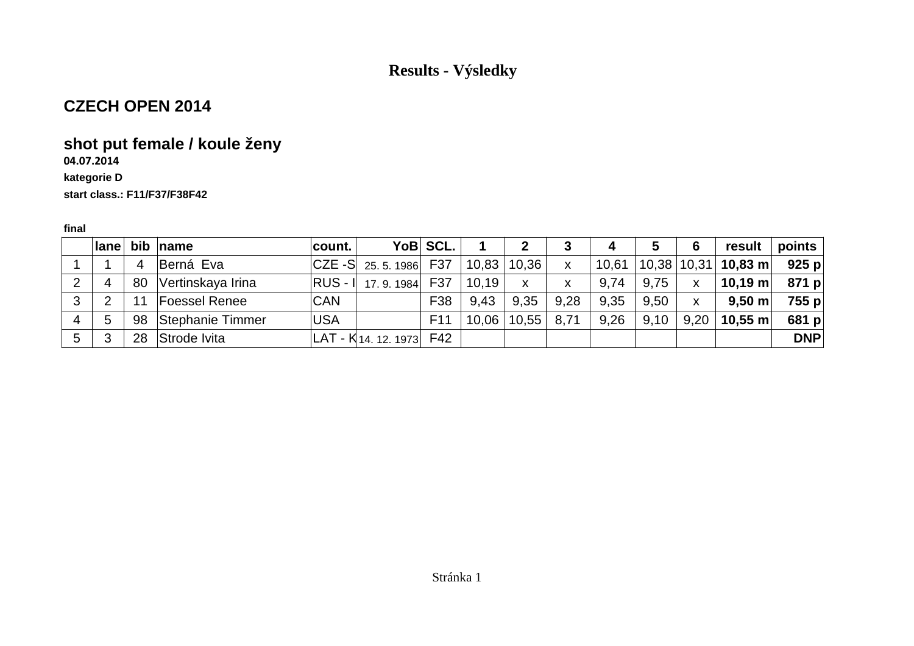### **CZECH OPEN 2014**

# **shot put female / koule ženy**

### **04.07.2014**

#### **kategorie D**

#### **start class.: F11/F37/F38F42**

|   | $ $ ane |    | bib $ $ name         | ∣count. I  |                             | YoB SCL.        |                 |              | 3            | 4     | 5    | 6            | result                                                     | points <b>b</b> |
|---|---------|----|----------------------|------------|-----------------------------|-----------------|-----------------|--------------|--------------|-------|------|--------------|------------------------------------------------------------|-----------------|
|   |         | 4  | Berná Eva            |            | $ CZE-S $ 25.5.1986 F37     |                 | 10,83 10,36     |              | $\mathsf{X}$ | 10,61 |      |              | $\vert$ 10,38 $\vert$ 10,31 $\vert$ <b>10,83 m</b> $\vert$ | 925 p           |
| 2 | 4       | 80 | Vertinskaya Irina    |            | RUS - 1 17.9.1984 F37       |                 | 10,19           | $\mathsf{x}$ | $\mathsf{x}$ | 9,74  | 9,75 | $\mathsf{X}$ | $^{\shortmid}$ 10,19 m $\mid$                              | 871 p           |
| 3 | റ       |    | <b>Foessel Renee</b> | <b>CAN</b> |                             | F38             | 9.43            | 9.35         | 9,28         | 9.35  | 9,50 | $\mathsf{x}$ | $9,50 \text{ m}$                                           | 755 p           |
| 4 | 5       |    | 98 Stephanie Timmer  | <b>USA</b> |                             | F <sub>11</sub> | $10.06$   10,55 |              | 8,71         | 9,26  | 9,10 | 9,20         | $\vert$ 10,55 m $\vert$                                    | 681 $p$         |
| 5 | -2      |    | 28 Strode Ivita      |            | $ LAT - K$ 14. 12. 1973 F42 |                 |                 |              |              |       |      |              |                                                            | <b>DNP</b>      |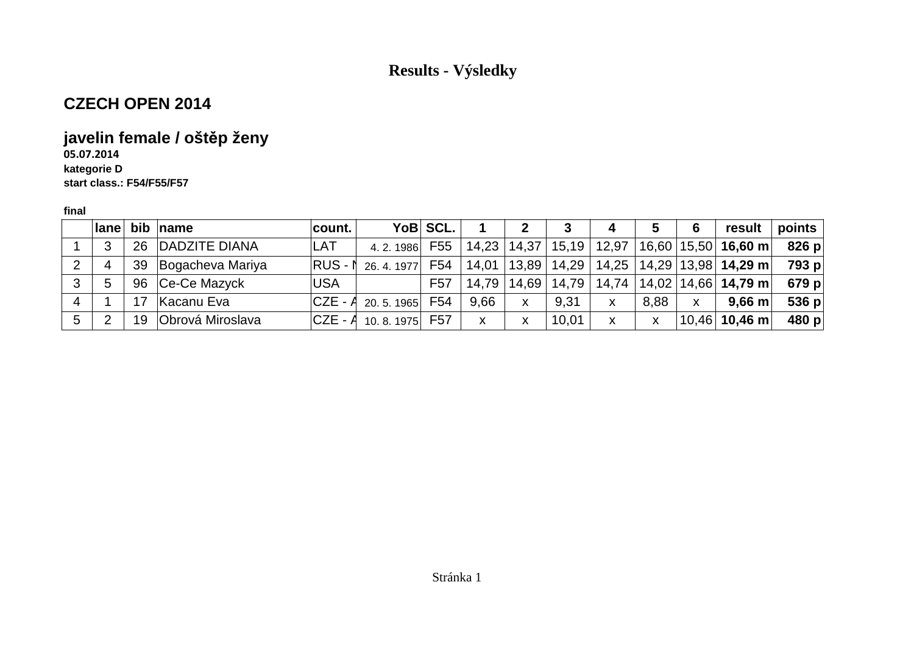## **CZECH OPEN 2014**

# **javelin female / oštěp ženy**

**05.07.2014 kategorie Dstart class.: F54/F55/F57**

|   | $ $ ane |    | bib $ name$         | count.     |                             | YoB SCL. |      |   | 3                     | 4     | 5    | 6 | result                                                                                                     | points  |
|---|---------|----|---------------------|------------|-----------------------------|----------|------|---|-----------------------|-------|------|---|------------------------------------------------------------------------------------------------------------|---------|
|   | 3       |    | 26 DADZITE DIANA    | <b>LAT</b> | 4. 2. 1986 F55              |          |      |   | 14,23   14,37   15,19 | 12,97 |      |   | $ 16,60 15,50 $ 16,60 m                                                                                    | 826 p   |
| 2 | 4       |    | 39 Bogacheva Mariya |            | $ RUS - N$ 26, 4, 1977      | F54      |      |   |                       |       |      |   | $\mid$ 14,01 $\mid$ 13,89 $\mid$ 14,29 $\mid$ 14,25 $\mid$ 14,29 $\mid$ 13,98 $\mid$ <b>14,29 m</b> $\mid$ | 793 p   |
| 3 | 5       |    | 96 Ce-Ce Mazyck     | <b>USA</b> |                             | F57      |      |   | 14,79   14,69   14,79 | 14,74 |      |   | $ 14,02 14,66 $ 14,79 m                                                                                    | 679 $p$ |
| 4 |         |    | Kacanu Eva          |            | $ CZE - A $ 20. 5. 1965 F54 |          | 9.66 | X | 9,31                  | X     | 8,88 | x | $9.66$ m                                                                                                   | 536 $p$ |
| 5 | ⌒       | 19 | Obrová Miroslava    |            | $ CZE - A $ 10.8.1975 F57   |          | x    | x | 10,01                 | X     | X    |   | $10,46$ 10,46 m                                                                                            | 480 $p$ |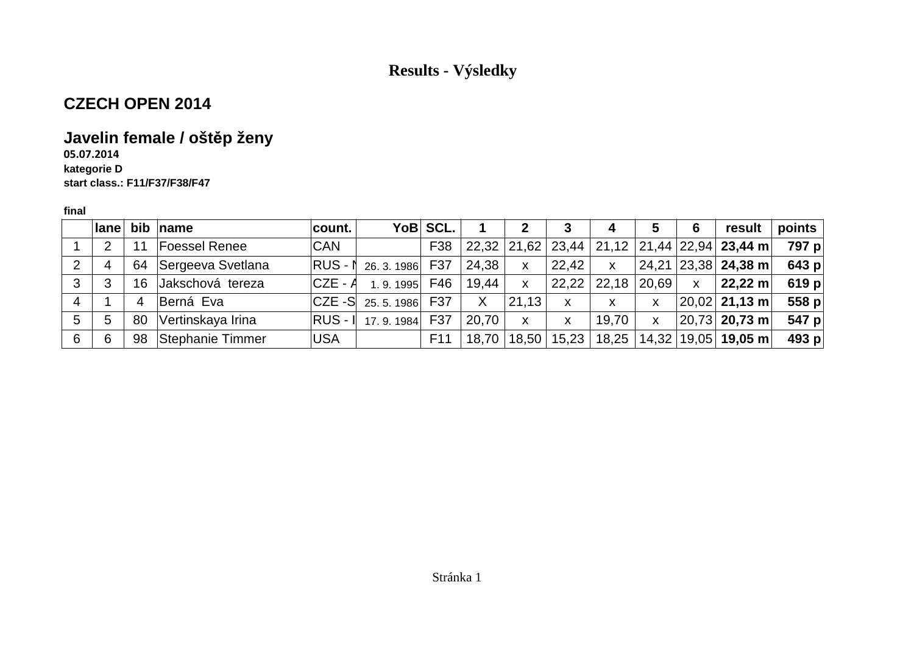## **CZECH OPEN 2014**

## **Javelin female / oštěp ženy**

#### **05.07.2014 kategorie Dstart class.: F11/F37/F38/F47**

|   | <b>lane</b> | bib | name              | $ $ count. $ $ |                         | YoB SCL.        |       | 2            | 3                         | 4             | 5     | 6            | result                                                  | points  |
|---|-------------|-----|-------------------|----------------|-------------------------|-----------------|-------|--------------|---------------------------|---------------|-------|--------------|---------------------------------------------------------|---------|
|   | 2           | 11  | Foessel Renee     | <b>CAN</b>     |                         | F38             |       |              |                           |               |       |              | $ 22,32 21,62 23,44 21,12 21,44 22,94 23,44 \text{ m} $ | 797 p   |
| 2 | 4           | 64  | Sergeeva Svetlana |                | RUS - 1 26. 3. 1986 F37 |                 | 24,38 | $\mathsf{x}$ | 22,42                     | $\mathsf{x}$  |       |              | 24,21   23,38   <b>24,38 m</b>                          | 643 p   |
| 3 | 3           | 16  | Jakschová tereza  | CZE - <i>A</i> | 1.9.1995                | F46             | 19,44 | $\mathsf{X}$ | $\vert$ 22,22 $\vert$     | 22,18         | 20,69 | $\mathsf{X}$ | $22,22 \; \text{m}$                                     | 619 p   |
| 4 |             | 4   | Berná Eva         |                | $ CZE-S $ 25.5.1986 F37 |                 | X     | 21,13        | $\boldsymbol{\mathsf{x}}$ | X.            | X     |              | $ 20,02 $ 21,13 m                                       | 558 $p$ |
| 5 | 5           | 80  | Vertinskaya Irina |                | RUS - 1 17.9.1984 F37   |                 | 20,70 | X            | X                         | 19,70         | X     |              | $ 20,73 $ 20,73 m                                       | 547 p   |
| 6 | 6           | 98  | Stephanie Timmer  | <b>USA</b>     |                         | F <sub>11</sub> | 18,70 | 18,50        |                           | 15,23   18,25 |       |              | $14,32$   19,05   19,05 m                               | 493 $p$ |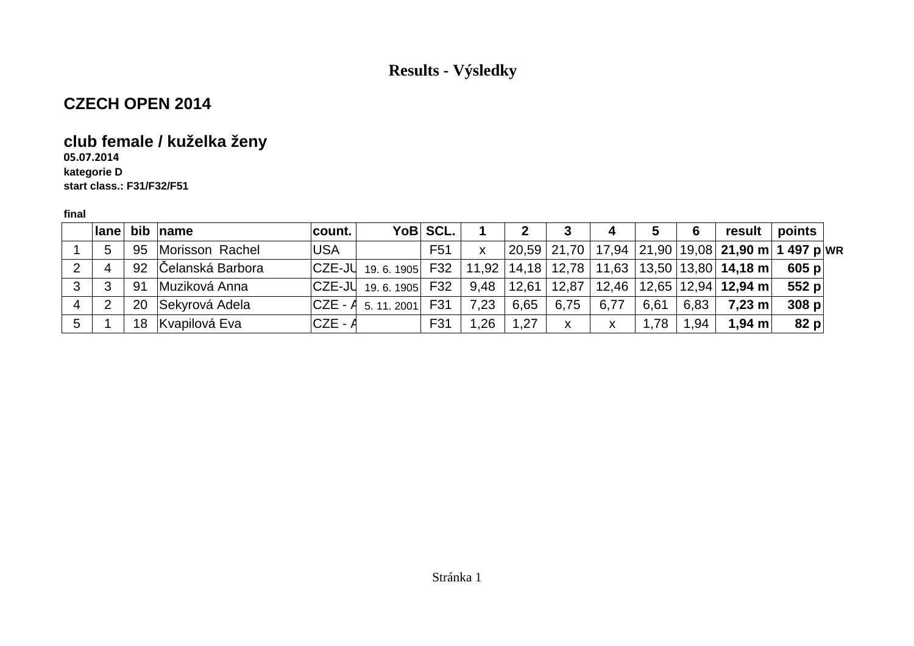### **CZECH OPEN 2014**

## **club female / kuželka ženy**

**05.07.2014 kategorie Dstart class.: F31/F32/F51**

|   | $ $ ane $ $ |    | bib $ name$         | count.                    | YoB SCL.        |      | 2     |       | 4    |         | 6    | result                                                  | points                                                                |
|---|-------------|----|---------------------|---------------------------|-----------------|------|-------|-------|------|---------|------|---------------------------------------------------------|-----------------------------------------------------------------------|
|   | 5           |    | 95 Morisson Rachel  | <b>USA</b>                | F <sub>51</sub> | X    |       |       |      |         |      |                                                         | 20,59   21,70   17,94   21,90   19,08 <b>  21,90 m   1 497 p  w</b> r |
|   | 4           |    | 92 Celanská Barbora | $ CZE-JU $ 19.6. 1905 F32 |                 |      |       |       |      |         |      | 11,92   14,18   12,78   11,63   13,50   13,80   14,18 m | 605 p                                                                 |
| 3 | 3           | 91 | Muziková Anna       | $ CZE-JU$ 19.6.1905       | F32             | 9,48 | 12,61 | 12,87 |      |         |      | $12,46$   12,65   12,94   <b>12,94 m</b>                | 552 $p$                                                               |
|   | ົ           |    | 20 Sekyrová Adela   | $ CZE - A_{5.11.2001} $   | F31             | 7,23 | 6,65  | 6,75  | 6,77 | 6,61    | 6,83 | $7,23$ m                                                | 308 p                                                                 |
| 5 |             |    | 18 Kvapilová Eva    | $CZE - A$                 | F31             | 1.26 | 1,27  | X     | X    | . 78. ، | 1,94 | 1,94 $m$                                                | 82 p                                                                  |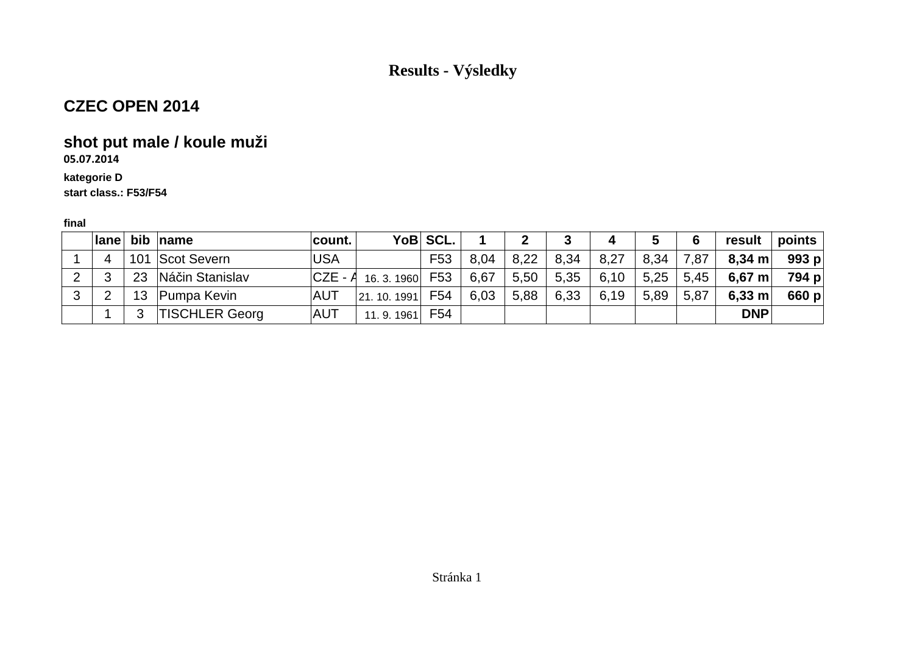# **CZEC OPEN 2014**

# **shot put male / koule muži**

**05.07.2014**

### **kategorie D**

**start class.: F53/F54**

|   | Iane |    | bib $ $ name          | count.         |            | YoB SCL. |      |      |      | 4    | 5    | 6    | result           | points  |
|---|------|----|-----------------------|----------------|------------|----------|------|------|------|------|------|------|------------------|---------|
|   | 4    |    | 101 Scot Severn       | USA            |            | F53      | 8.04 | 8,22 | 8,34 | 8,27 | 8,34 | 7,87 | 8,34 m∣          | 993 $p$ |
|   | ົ    | 23 | Náčin Stanislav       | CZE - <i>A</i> | 16.3.1960  | F53      | 6.67 | 5,50 | 5,35 | 6,10 | 5,25 | 5,45 | 6,67 m           | 794 p   |
| 2 |      |    | Pumpa Kevin           | <b>AUT</b>     | 21.10.1991 | F54      | 6.03 | 5,88 | 6,33 | 6,19 | 5,89 | 5,87 | $6,33 \text{ m}$ | 660 $p$ |
|   |      | ≏  | <b>TISCHLER Georg</b> | <b>AUT</b>     | 11.9.1961  | F54      |      |      |      |      |      |      | <b>DNP</b>       |         |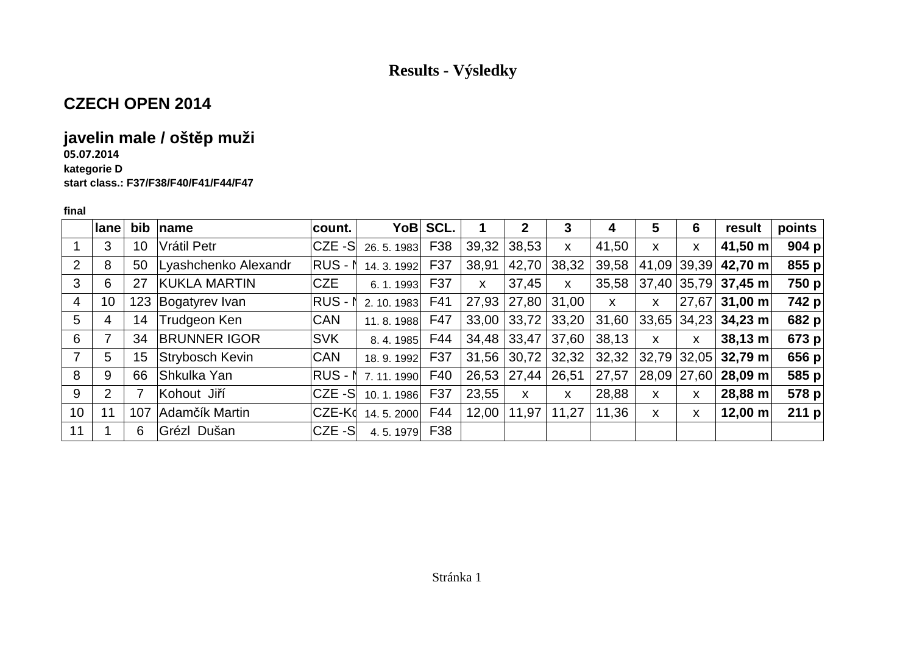## **CZECH OPEN 2014**

## **javelin male / oštěp muži**

#### **05.07.2014**

**kategorie D**

**start class.: F37/F38/F40/F41/F44/F47**

|                 | $ $ ane         | bib | name                 | count.     |             | YoB SCL. |       | $\mathbf 2$         | 3     | 4            | 5     | 6     | result                | points  |
|-----------------|-----------------|-----|----------------------|------------|-------------|----------|-------|---------------------|-------|--------------|-------|-------|-----------------------|---------|
|                 | 3               | 10  | Vrátil Petr          | CZE-S      | 26.5.1983   | F38      | 39,32 | 38,53               | X     | 41,50        | X     | X     | 41,50 m               | 904 $p$ |
| 2               | 8               | 50  | Lyashchenko Alexandr | RUS-1      | 14.3.1992   | F37      | 38,91 | 42,70               | 38,32 | 39,58        | 41,09 | 39,39 | 42,70 m               | 855 p   |
| 3               | 6               | 27  | KUKLA MARTIN         | <b>CZE</b> | 6.1.1993    | F37      | X     | 37,45               | X     | 35,58        |       |       | $37,40$ 35,79 37,45 m | 750 p   |
| 4               | 10 <sup>°</sup> | 123 | Bogatyrev Ivan       | $RUS - N$  | 2. 10. 1983 | F41      | 27,93 | 27,80 31,00         |       | $\mathsf{x}$ | X     | 27,67 | $31,00 \; \text{m}$   | 742 p   |
| 5               | 4               | 14  | Trudgeon Ken         | <b>CAN</b> | 11.8.1988   | F47      |       | $33,00$ 33,72 33,20 |       | 31,60        | 33,65 |       | $ 34,23 $ 34,23 m     | 682 pl  |
| 6               |                 | 34  | <b>BRUNNER IGOR</b>  | <b>SVK</b> | 8.4.1985    | F44      | 34,48 | 33,47               | 37,60 | 38,13        | X.    | X     | $38,13 \; m$          | 673 pl  |
| $\overline{7}$  | 5               | 15  | Strybosch Kevin      | <b>CAN</b> | 18.9.1992   | F37      | 31,56 | 30,72               | 32,32 | 32,32        | 32,79 | 32,05 | $32,79 \; m$          | 656 $p$ |
| 8               | 9               | 66  | Shkulka Yan          | $RUS - N$  | 7.11.1990   | F40      |       | $26,53$   27,44     | 26,51 | 27,57        | 28,09 | 27,60 | 28,09 m               | 585 p   |
| 9               | 2               |     | Kohout Jiří          | CZE-S      | 10.1.1986   | F37      | 23,55 | X                   | X     | 28,88        | X.    | X     | 28,88 m               | 578 p   |
| 10 <sup>°</sup> | 11              | 107 | Adamčík Martin       | CZE-Ko     | 14.5.2000   | F44      | 12,00 | 11,97               | 11,27 | 11,36        | X     | X     | $12,00 \; m$          | 211 $p$ |
| 11              |                 | 6   | Grézl Dušan          | $CZE - S$  | 4.5.1979    | F38      |       |                     |       |              |       |       |                       |         |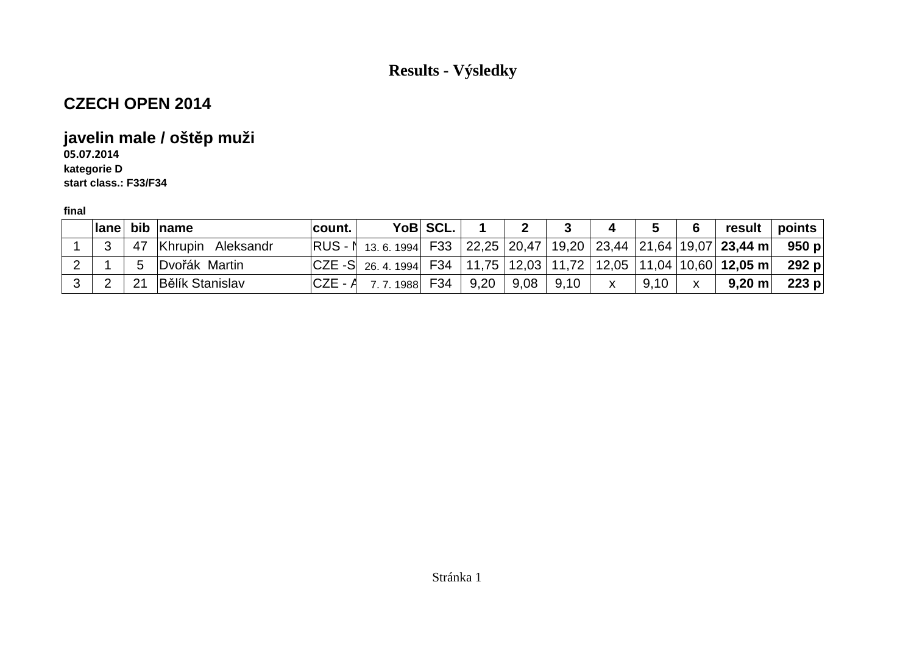## **CZECH OPEN 2014**

## **javelin male / oštěp muži**

**05.07.2014 kategorie Dstart class.: F33/F34**

|  |    | lane bib name          | count.    |                                                                                     | YoB SCL. |      |      |      |              | G    | 6 | result  | points $\mid$ |
|--|----|------------------------|-----------|-------------------------------------------------------------------------------------|----------|------|------|------|--------------|------|---|---------|---------------|
|  | 47 | Khrupin Aleksandr      |           | $ RUS - N$ 13.6.1994 F33 22,25 20,47 19,20 23,44 21,64 19,07 23,44 m 950 p          |          |      |      |      |              |      |   |         |               |
|  |    | Dvořák Martin          |           | $ CZE-S $ 26. 4. 1994 F34   11,75   12,03   11,72   12,05   11,04   10,60   12,05 m |          |      |      |      |              |      |   |         | 292 p         |
|  |    | <b>Bělík Stanislav</b> | $CZE - A$ | 7.7.1988                                                                            | F34      | 9,20 | 9,08 | 9,10 | $\mathsf{X}$ | 9.10 | X | 9,20 m∣ | 223 $p$       |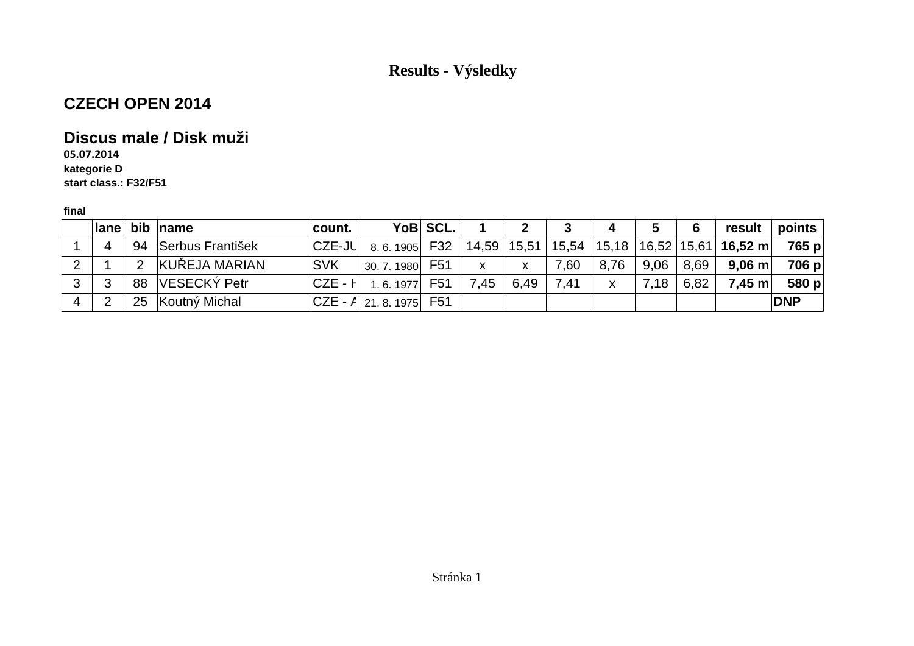## **CZECH OPEN 2014**

### **Discus male / Disk muži**

**05.07.2014 kategorie Dstart class.: F32/F51**

|    |     |       | lane bib name    | count. I   |                           | YoB SCL. |              |      | 3    | 4    | 5    | 6    |                                                                                  | result $ $ points $ $ |
|----|-----|-------|------------------|------------|---------------------------|----------|--------------|------|------|------|------|------|----------------------------------------------------------------------------------|-----------------------|
|    | Δ   | 94    | Serbus František | ICZE-JU    | 8.6.1905 F32 14,59 15,51  |          |              |      |      |      |      |      | $\mid$ 15,54 $\mid$ 15,18 $\mid$ 16,52 $\mid$ 15,61 $\mid$ <b>16,52 m</b> $\mid$ | 765 p                 |
| റ  |     | - 200 | KUŘEJA MARIAN    | <b>SVK</b> | 30.7.1980                 | F51      | $\mathsf{x}$ | X    | 7,60 | 8,76 | 9,06 | 8,69 | $9,06 \text{ m}$                                                                 | 706 p                 |
| -2 | - 2 | 88    | VESECKÝ Petr     | ICZE - H   | 1, 6, 1977                | F51      | 7,45         | 6,49 | 7,41 | X    | 7,18 | 6,82 | $7,45 \text{ m}$                                                                 | 580 p                 |
|    |     | 25    | Koutný Michal    |            | $ CZE - A $ 21.8.1975 F51 |          |              |      |      |      |      |      |                                                                                  | <b>DNP</b>            |